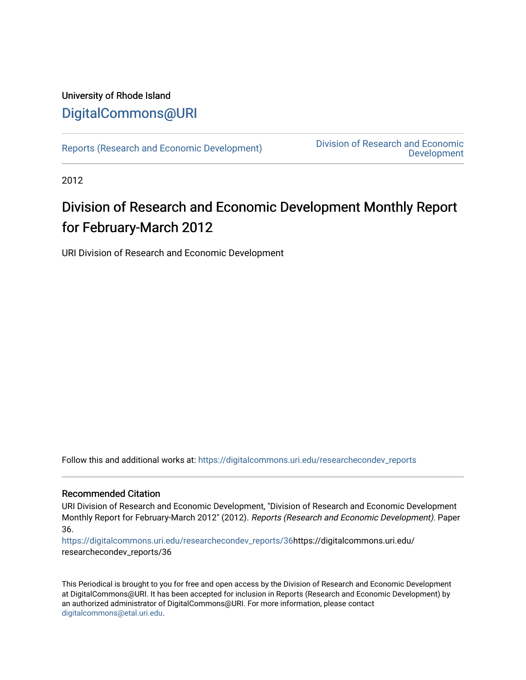# University of Rhode Island [DigitalCommons@URI](https://digitalcommons.uri.edu/)

[Reports \(Research and Economic Development\)](https://digitalcommons.uri.edu/researchecondev_reports) Division of Research and Economic [Development](https://digitalcommons.uri.edu/researchecondev) 

2012

# Division of Research and Economic Development Monthly Report for February-March 2012

URI Division of Research and Economic Development

Follow this and additional works at: [https://digitalcommons.uri.edu/researchecondev\\_reports](https://digitalcommons.uri.edu/researchecondev_reports?utm_source=digitalcommons.uri.edu%2Fresearchecondev_reports%2F36&utm_medium=PDF&utm_campaign=PDFCoverPages) 

#### Recommended Citation

URI Division of Research and Economic Development, "Division of Research and Economic Development Monthly Report for February-March 2012" (2012). Reports (Research and Economic Development). Paper 36.

[https://digitalcommons.uri.edu/researchecondev\\_reports/36](https://digitalcommons.uri.edu/researchecondev_reports/36?utm_source=digitalcommons.uri.edu%2Fresearchecondev_reports%2F36&utm_medium=PDF&utm_campaign=PDFCoverPages)https://digitalcommons.uri.edu/ researchecondev\_reports/36

This Periodical is brought to you for free and open access by the Division of Research and Economic Development at DigitalCommons@URI. It has been accepted for inclusion in Reports (Research and Economic Development) by an authorized administrator of DigitalCommons@URI. For more information, please contact [digitalcommons@etal.uri.edu](mailto:digitalcommons@etal.uri.edu).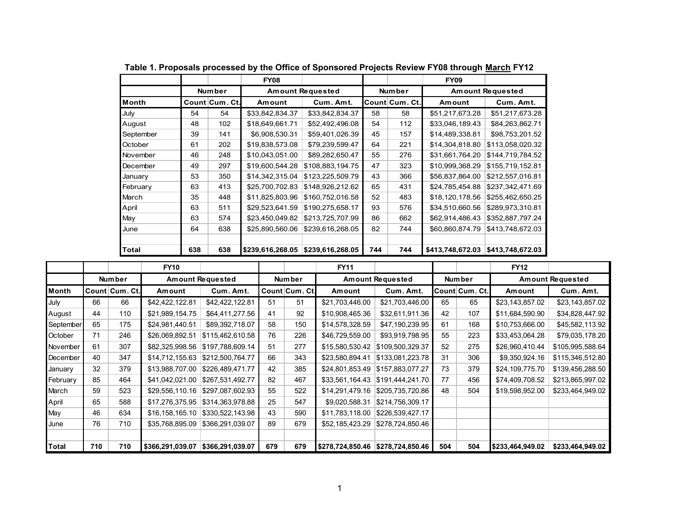|           |     |                | <b>FY08</b>                        |                  |        |                | <b>FY09</b>             |                  |
|-----------|-----|----------------|------------------------------------|------------------|--------|----------------|-------------------------|------------------|
|           |     | <b>Number</b>  | <b>Amount Requested</b>            |                  | Number |                | <b>Amount Requested</b> |                  |
| Month     |     | Count Cum. Ct. | Amount                             | Cum. Amt.        |        | Count Cum. Ct. | Amount                  | Cum. Amt.        |
| July      | 54  | 54             | \$33,842,834.37                    | \$33,842,834.37  | 58     | 58             | \$51,217,673.28         | \$51,217,673.28  |
| August    | 48  | 102            | \$18,649,661.71                    | \$52,492,496.08  | 54     | 112            | \$33,046,189.43         | \$84,263,862.71  |
| September | 39  | 141            | \$6,908,530.31                     | \$59,401,026.39  | 45     | 157            | \$14,489,338.81         | \$98,753,201.52  |
| October   | 61  | 202            | \$19,838,573.08                    | \$79,239,599.47  | 64     | 221            | \$14,304,818.80         | \$113,058,020.32 |
| November  | 46  | 248            | \$10,043,051.00                    | \$89,282,650.47  | 55     | 276            | \$31,661,764.20         | \$144,719,784.52 |
| December  | 49  | 297            | \$19,600,544.28                    | \$108,883,194.75 | 47     | 323            | \$10,999,368.29         | \$155,719,152.81 |
| January   | 53  | 350            | \$14,342,315.04                    | \$123,225,509.79 | 43     | 366            | \$56,837,864.00         | \$212,557,016.81 |
| February  | 63  | 413            | \$25,700,702.83                    | \$148,926,212.62 | 65     | 431            | \$24,785,454.88         | \$237,342,471.69 |
| March     | 35  | 448            | \$11,825,803.96                    | \$160,752,016.58 | 52     | 483            | \$18,120,178.56         | \$255,462,650.25 |
| April     | 63  | 511            | \$29,523,641.59                    | \$190,275,658.17 | 93     | 576            | \$34,510,660.56         | \$289,973,310.81 |
| May       | 63  | 574            | \$23,450,049.82                    | \$213,725,707.99 | 86     | 662            | \$62,914,486.43         | \$352,887,797.24 |
| June      | 64  | 638            | \$25,890,560.06                    | \$239,616,268.05 | 82     | 744            | \$60,860,874.79         | \$413,748,672.03 |
|           |     |                |                                    |                  |        |                |                         |                  |
| Total     | 638 | 638            | \$239,616,268.05  \$239,616,268.05 |                  | 744    | 744            | \$413,748,672.03        | \$413,748,672.03 |

**Table 1. Proposals processed by the Office of Sponsored Projects Review FY08 through March FY12**

|           |     |                | <b>FY10</b>      |                         |     |                | <b>FY11</b>                       |                         |         |                | <b>FY12</b>             |                  |
|-----------|-----|----------------|------------------|-------------------------|-----|----------------|-----------------------------------|-------------------------|---------|----------------|-------------------------|------------------|
|           |     | <b>Number</b>  |                  | <b>Amount Requested</b> |     | <b>Number</b>  |                                   | <b>Amount Requested</b> | Num ber |                | <b>Amount Requested</b> |                  |
| Month     |     | Count Cum. Ct. | Amount           | Cum. Amt.               |     | Count Cum. Ct. | Amount                            | Cum. Amt.               |         | Count Cum. Ct. | Amount                  | Cum. Amt.        |
| July      | 66  | 66             | \$42,422,122.81  | \$42,422,122.81         | 51  | 51             | \$21,703,446.00                   | \$21,703,446.00         | 65      | 65             | \$23,143,857.02         | \$23,143,857.02  |
| August    | 44  | 110            | \$21,989,154.75  | \$64,411,277.56         | 41  | 92             | \$10,908,465.36                   | \$32,611,911.36         | 42      | 107            | \$11,684,590.90         | \$34,828,447.92  |
| September | 65  | 175            | \$24,981,440.51  | \$89,392,718.07         | 58  | 150            | \$14,578,328.59                   | \$47,190,239.95         | 61      | 168            | \$10,753,666.00         | \$45,582,113.92  |
| October   | 71  | 246            | \$26,069,892.51  | \$115,462,610.58        | 76  | 226            | \$46,729,559.00                   | \$93,919,798.95         | 55      | 223            | \$33,453,064.28         | \$79,035,178.20  |
| November  | 61  | 307            | \$82,325,998.56  | \$197,788,609.14        | 51  | 277            | \$15,580,530.42                   | \$109,500,329.37        | 52      | 275            | \$26,960,410.44         | \$105,995,588.64 |
| December  | 40  | 347            | \$14,712,155.63  | \$212.500.764.77        | 66  | 343            | \$23,580,894.41                   | \$133,081,223.78        | 31      | 306            | \$9,350,924.16          | \$115,346,512.80 |
| January   | 32  | 379            | \$13,988,707.00  | \$226,489,471.77        | 42  | 385            | \$24,801,853.49                   | \$157,883,077.27        | 73      | 379            | \$24,109,775.70         | \$139,456,288.50 |
| February  | 85  | 464            | \$41,042,021.00  | \$267,531,492.77        | 82  | 467            | \$33,561,164.43                   | \$191,444,241.70        | 77      | 456            | \$74,409,708.52         | \$213,865,997.02 |
| March     | 59  | 523            | \$29,556,110.16  | \$297,087,602.93        | 55  | 522            | \$14,291,479.16                   | \$205,735,720.86        | 48      | 504            | \$19,598,952.00         | \$233,464,949.02 |
| April     | 65  | 588            | \$17,276,375.95  | \$314,363,978.88        | 25  | 547            | \$9,020,588.31                    | \$214,756,309.17        |         |                |                         |                  |
| May       | 46  | 634            | \$16,158,165.10  | \$330,522,143.98        | 43  | 590            | \$11,783,118.00                   | \$226,539,427.17        |         |                |                         |                  |
| June      | 76  | 710            | \$35,768,895.09  | \$366,291,039.07        | 89  | 679            | \$52,185,423.29                   | \$278,724,850.46        |         |                |                         |                  |
|           |     |                |                  |                         |     |                |                                   |                         |         |                |                         |                  |
| Total     | 710 | 710            | \$366,291,039.07 | \$366,291,039.07        | 679 | 679            | \$278,724,850.46 \$278,724,850.46 |                         | 504     | 504            | \$233,464,949.02        | \$233,464,949.02 |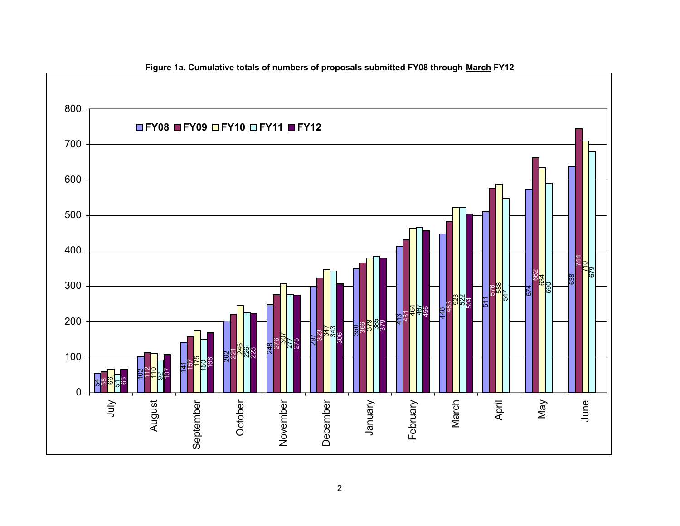

# **Figure 1a. Cumulative totals of numbers of proposals submitted FY08 through March FY12**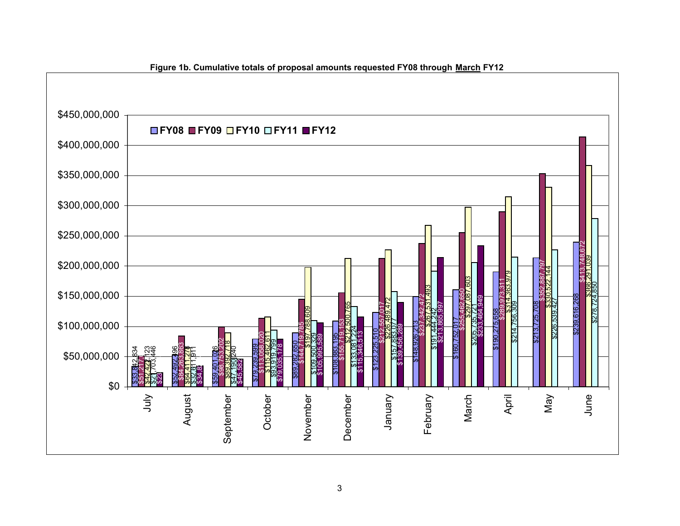

#### **Figure 1b. Cumulative totals of proposal amounts requested FY08 through March FY12**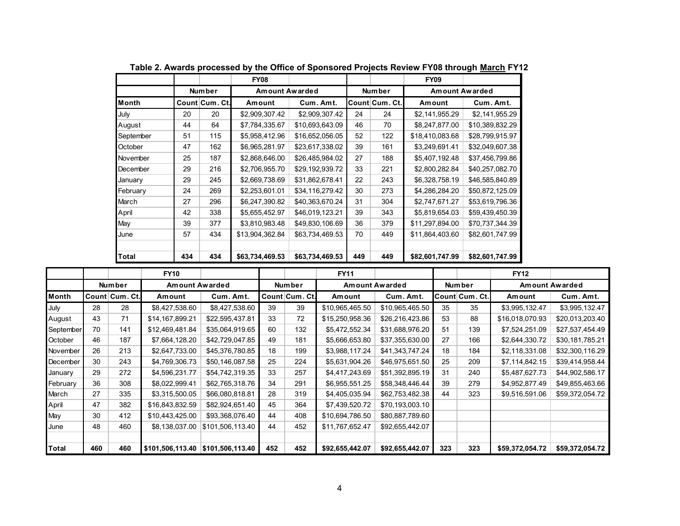|              |     |                | <b>FY08</b>     |                 |        |                | <b>FY09</b>           |                 |
|--------------|-----|----------------|-----------------|-----------------|--------|----------------|-----------------------|-----------------|
|              |     | <b>Number</b>  | Amount Awarded  |                 | Number |                | <b>Amount Awarded</b> |                 |
| <b>Month</b> |     | Count Cum. Ct. | Amount          | Cum. Amt.       |        | Count Cum. Ct. | Amount                | Cum. Amt.       |
| July         | 20  | 20             | \$2.909.307.42  | \$2,909,307.42  | 24     | 24             | \$2.141.955.29        | \$2,141,955.29  |
| August       | 44  | 64             | \$7,784,335.67  | \$10,693,643.09 | 46     | 70             | \$8,247,877.00        | \$10,389,832.29 |
| September    | 51  | 115            | \$5,958,412.96  | \$16,652,056.05 | 52     | 122            | \$18,410,083.68       | \$28,799,915.97 |
| October      | 47  | 162            | \$6,965,281.97  | \$23,617,338.02 | 39     | 161            | \$3,249,691.41        | \$32,049,607.38 |
| November     | 25  | 187            | \$2,868,646.00  | \$26,485,984.02 | 27     | 188            | \$5,407,192.48        | \$37,456,799.86 |
| December     | 29  | 216            | \$2,706,955.70  | \$29,192,939.72 | 33     | 221            | \$2,800,282.84        | \$40,257,082.70 |
| January      | 29  | 245            | \$2,669,738.69  | \$31,862,678.41 | 22     | 243            | \$6,328,758.19        | \$46,585,840.89 |
| February     | 24  | 269            | \$2,253,601.01  | \$34,116,279.42 | 30     | 273            | \$4,286,284.20        | \$50,872,125.09 |
| March        | 27  | 296            | \$6,247,390.82  | \$40,363,670.24 | 31     | 304            | \$2,747,671.27        | \$53,619,796.36 |
| April        | 42  | 338            | \$5,655,452.97  | \$46,019,123.21 | 39     | 343            | \$5,819,654.03        | \$59,439,450.39 |
| May          | 39  | 377            | \$3,810,983.48  | \$49,830,106.69 | 36     | 379            | \$11,297,894.00       | \$70,737,344.39 |
| June         | 57  | 434            | \$13,904,362.84 | \$63,734,469.53 | 70     | 449            | \$11,864,403.60       | \$82,601,747.99 |
|              |     |                |                 |                 |        |                |                       |                 |
| <b>Total</b> | 434 | 434            | \$63,734,469.53 | \$63,734,469.53 | 449    | 449            | \$82,601,747.99       | \$82,601,747.99 |

**Table 2. Awards processed by the Office of Sponsored Projects Review FY08 through March FY12**

|              |     |                | <b>FY10</b>           |                  |     |                | <b>FY11</b>           |                 |     |                | <b>FY12</b>     |                 |
|--------------|-----|----------------|-----------------------|------------------|-----|----------------|-----------------------|-----------------|-----|----------------|-----------------|-----------------|
|              |     | <b>Number</b>  | <b>Amount Awarded</b> |                  |     | <b>Number</b>  | <b>Amount Awarded</b> |                 |     | <b>Number</b>  | Amount Awarded  |                 |
| <b>Month</b> |     | Count Cum. Ct. | Amount                | Cum. Amt.        |     | Count Cum. Ct. | Amount                | Cum. Amt.       |     | Count Cum. Ct. | Amount          | Cum. Amt.       |
| July         | 28  | 28             | \$8,427,538.60        | \$8,427,538.60   | 39  | 39             | \$10,965,465.50       | \$10,965,465.50 | 35  | 35             | \$3,995,132.47  | \$3,995,132.47  |
| August       | 43  | 71             | \$14,167,899.21       | \$22,595,437.81  | 33  | 72             | \$15,250,958.36       | \$26,216,423.86 | 53  | 88             | \$16,018,070.93 | \$20,013,203.40 |
| September    | 70  | 141            | \$12,469,481.84       | \$35,064,919.65  | 60  | 132            | \$5,472,552.34        | \$31,688,976.20 | 51  | 139            | \$7,524,251.09  | \$27,537,454.49 |
| October      | 46  | 187            | \$7,664,128.20        | \$42,729,047.85  | 49  | 181            | \$5,666,653.80        | \$37,355,630.00 | 27  | 166            | \$2,644,330.72  | \$30,181,785.21 |
| November     | 26  | 213            | \$2,647,733.00        | \$45,376,780.85  | 18  | 199            | \$3,988,117.24        | \$41,343,747.24 | 18  | 184            | \$2,118,331.08  | \$32,300,116.29 |
| December     | 30  | 243            | \$4,769,306.73        | \$50,146,087.58  | 25  | 224            | \$5,631,904.26        | \$46,975,651.50 | 25  | 209            | \$7,114,842.15  | \$39,414,958.44 |
| January      | 29  | 272            | \$4,596,231.77        | \$54,742,319.35  | 33  | 257            | \$4,417,243.69        | \$51,392,895.19 | 31  | 240            | \$5,487,627.73  | \$44,902,586.17 |
| February     | 36  | 308            | \$8,022,999.41        | \$62,765,318.76  | 34  | 291            | \$6,955,551.25        | \$58,348,446.44 | 39  | 279            | \$4,952,877.49  | \$49,855,463.66 |
| March        | 27  | 335            | \$3,315,500.05        | \$66,080,818.81  | 28  | 319            | \$4,405,035.94        | \$62,753,482.38 | 44  | 323            | \$9,516,591.06  | \$59,372,054.72 |
| April        | 47  | 382            | \$16,843,832.59       | \$82,924,651.40  | 45  | 364            | \$7,439,520.72        | \$70,193,003.10 |     |                |                 |                 |
| May          | 30  | 412            | \$10,443,425.00       | \$93,368,076.40  | 44  | 408            | \$10,694,786.50       | \$80,887,789.60 |     |                |                 |                 |
| June         | 48  | 460            | \$8,138,037.00        | \$101,506,113.40 | 44  | 452            | \$11,767,652.47       | \$92,655,442.07 |     |                |                 |                 |
|              |     |                |                       |                  |     |                |                       |                 |     |                |                 |                 |
| Total        | 460 | 460            | \$101,506,113.40      | \$101,506,113.40 | 452 | 452            | \$92,655,442.07       | \$92,655,442.07 | 323 | 323            | \$59,372,054.72 | \$59,372,054.72 |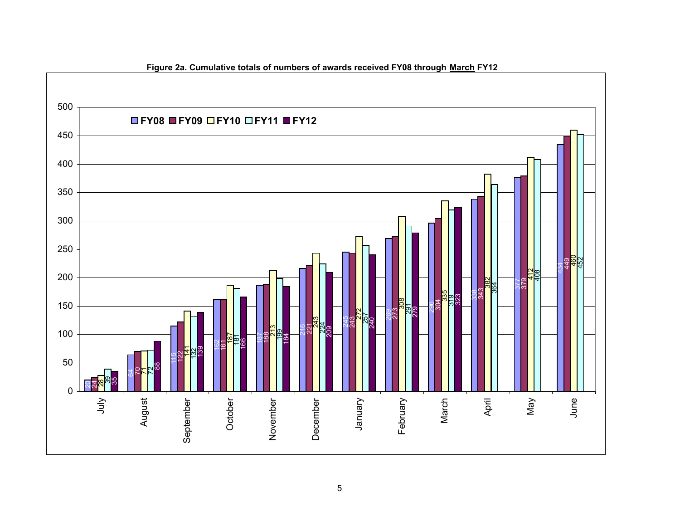

**Figure 2a. Cumulative totals of numbers of awards received FY08 through March FY12**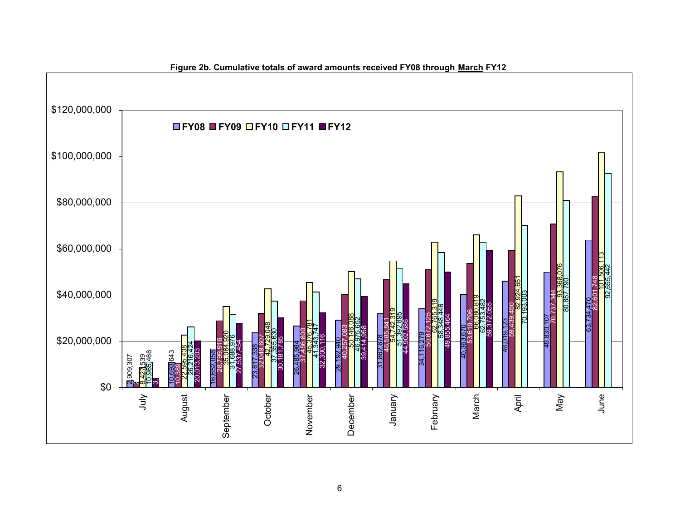

#### **Figure 2b. Cumulative totals of award amounts received FY08 through March FY12**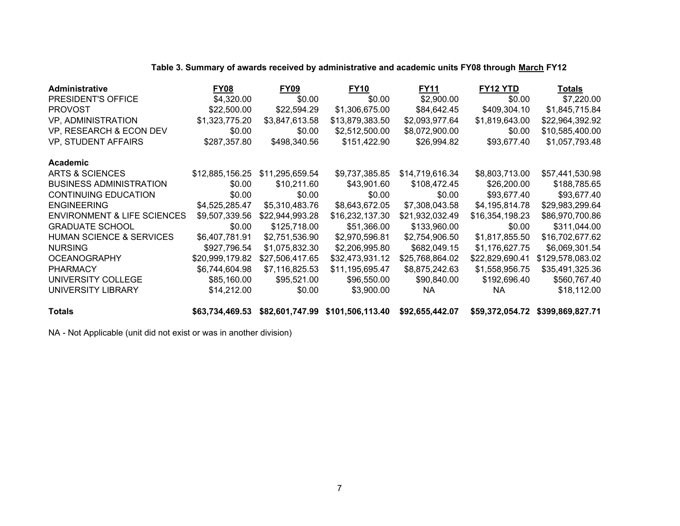|  |  | Table 3. Summary of awards received by administrative and academic units FY08 through March FY12 |  |
|--|--|--------------------------------------------------------------------------------------------------|--|
|--|--|--------------------------------------------------------------------------------------------------|--|

| <b>Administrative</b>                  | FY08            | <b>FY09</b>     | <b>FY10</b>                                                      | <b>FY11</b>     | FY12 YTD        | Totals                           |
|----------------------------------------|-----------------|-----------------|------------------------------------------------------------------|-----------------|-----------------|----------------------------------|
| PRESIDENT'S OFFICE                     | \$4,320.00      | \$0.00          | \$0.00                                                           | \$2,900.00      | \$0.00          | \$7,220.00                       |
| <b>PROVOST</b>                         | \$22,500.00     | \$22,594.29     | \$1,306,675.00                                                   | \$84,642.45     | \$409,304.10    | \$1,845,715.84                   |
| <b>VP, ADMINISTRATION</b>              | \$1,323,775.20  | \$3,847,613.58  | \$13,879,383.50                                                  | \$2,093,977.64  | \$1,819,643.00  | \$22,964,392.92                  |
| VP, RESEARCH & ECON DEV                | \$0.00          | \$0.00          | \$2,512,500.00                                                   | \$8,072,900.00  | \$0.00          | \$10,585,400.00                  |
| VP, STUDENT AFFAIRS                    | \$287,357.80    | \$498,340.56    | \$151,422.90                                                     | \$26,994.82     | \$93,677.40     | \$1,057,793.48                   |
| Academic                               |                 |                 |                                                                  |                 |                 |                                  |
| ARTS & SCIENCES                        | \$12,885,156.25 | \$11,295,659.54 | \$9,737,385.85                                                   | \$14,719,616.34 | \$8,803,713.00  | \$57,441,530.98                  |
| <b>BUSINESS ADMINISTRATION</b>         | \$0.00          | \$10,211.60     | \$43,901.60                                                      | \$108,472.45    | \$26,200.00     | \$188,785.65                     |
| <b>CONTINUING EDUCATION</b>            | \$0.00          | \$0.00          | \$0.00                                                           | \$0.00          | \$93,677.40     | \$93,677.40                      |
| <b>ENGINEERING</b>                     | \$4,525,285.47  | \$5,310,483.76  | \$8,643,672.05                                                   | \$7,308,043.58  | \$4,195,814.78  | \$29,983,299.64                  |
| <b>ENVIRONMENT &amp; LIFE SCIENCES</b> | \$9,507,339.56  | \$22,944,993.28 | \$16,232,137.30                                                  | \$21,932,032.49 | \$16,354,198.23 | \$86,970,700.86                  |
| <b>GRADUATE SCHOOL</b>                 | \$0.00          | \$125,718.00    | \$51,366.00                                                      | \$133,960.00    | \$0.00          | \$311,044.00                     |
| <b>HUMAN SCIENCE &amp; SERVICES</b>    | \$6,407,781.91  | \$2,751,536.90  | \$2,970,596.81                                                   | \$2,754,906.50  | \$1,817,855.50  | \$16,702,677.62                  |
| <b>NURSING</b>                         | \$927,796.54    | \$1,075,832.30  | \$2,206,995.80                                                   | \$682,049.15    | \$1,176,627.75  | \$6,069,301.54                   |
| <b>OCEANOGRAPHY</b>                    | \$20,999,179.82 | \$27,506,417.65 | \$32,473,931.12                                                  | \$25,768,864.02 | \$22,829,690.41 | \$129,578,083.02                 |
| <b>PHARMACY</b>                        | \$6,744,604.98  | \$7,116,825.53  | \$11,195,695.47                                                  | \$8,875,242.63  | \$1,558,956.75  | \$35,491,325.36                  |
| UNIVERSITY COLLEGE                     | \$85,160.00     | \$95,521.00     | \$96,550.00                                                      | \$90,840.00     | \$192,696.40    | \$560,767.40                     |
| UNIVERSITY LIBRARY                     | \$14,212.00     | \$0.00          | \$3,900.00                                                       | NA.             | NA              | \$18,112.00                      |
| <b>Totals</b>                          |                 |                 | \$63,734,469.53 \$82,601,747.99 \$101,506,113.40 \$92,655,442.07 |                 |                 | \$59,372,054.72 \$399,869,827.71 |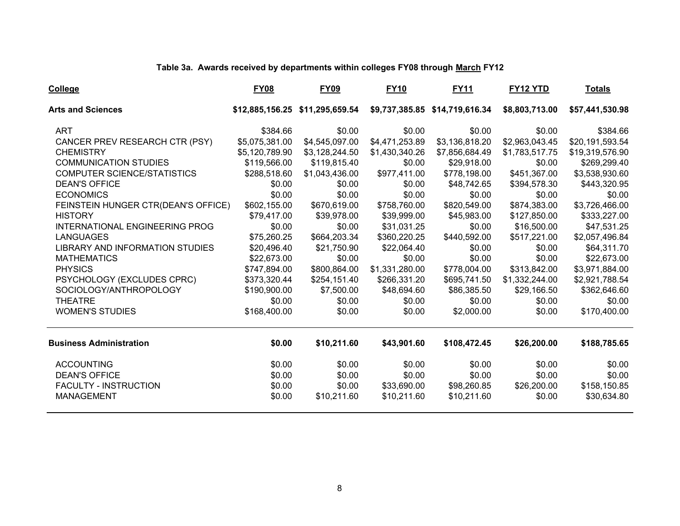# **Table 3a. Awards received by departments within colleges FY08 through March FY12**

| <b>College</b>                         | <b>FY08</b>    | <b>FY09</b>                     | <b>FY10</b>    | <b>FY11</b>                    | <b>FY12 YTD</b> | <b>Totals</b>   |
|----------------------------------------|----------------|---------------------------------|----------------|--------------------------------|-----------------|-----------------|
| <b>Arts and Sciences</b>               |                | \$12,885,156.25 \$11,295,659.54 |                | \$9,737,385.85 \$14,719,616.34 | \$8,803,713.00  | \$57,441,530.98 |
| <b>ART</b>                             | \$384.66       | \$0.00                          | \$0.00         | \$0.00                         | \$0.00          | \$384.66        |
| CANCER PREV RESEARCH CTR (PSY)         | \$5,075,381.00 | \$4,545,097.00                  | \$4,471,253.89 | \$3,136,818.20                 | \$2,963,043.45  | \$20,191,593.54 |
| <b>CHEMISTRY</b>                       | \$5,120,789.90 | \$3,128,244.50                  | \$1,430,340.26 | \$7,856,684.49                 | \$1,783,517.75  | \$19,319,576.90 |
| <b>COMMUNICATION STUDIES</b>           | \$119,566.00   | \$119,815.40                    | \$0.00         | \$29,918.00                    | \$0.00          | \$269,299.40    |
| <b>COMPUTER SCIENCE/STATISTICS</b>     | \$288,518.60   | \$1,043,436.00                  | \$977,411.00   | \$778,198.00                   | \$451,367.00    | \$3,538,930.60  |
| <b>DEAN'S OFFICE</b>                   | \$0.00         | \$0.00                          | \$0.00         | \$48,742.65                    | \$394,578.30    | \$443,320.95    |
| <b>ECONOMICS</b>                       | \$0.00         | \$0.00                          | \$0.00         | \$0.00                         | \$0.00          | \$0.00          |
| FEINSTEIN HUNGER CTR(DEAN'S OFFICE)    | \$602,155.00   | \$670,619.00                    | \$758,760.00   | \$820,549.00                   | \$874,383.00    | \$3,726,466.00  |
| <b>HISTORY</b>                         | \$79,417.00    | \$39,978.00                     | \$39,999.00    | \$45,983.00                    | \$127,850.00    | \$333,227.00    |
| INTERNATIONAL ENGINEERING PROG         | \$0.00         | \$0.00                          | \$31,031.25    | \$0.00                         | \$16,500.00     | \$47,531.25     |
| <b>LANGUAGES</b>                       | \$75,260.25    | \$664,203.34                    | \$360,220.25   | \$440,592.00                   | \$517,221.00    | \$2,057,496.84  |
| <b>LIBRARY AND INFORMATION STUDIES</b> | \$20,496.40    | \$21,750.90                     | \$22,064.40    | \$0.00                         | \$0.00          | \$64,311.70     |
| <b>MATHEMATICS</b>                     | \$22,673.00    | \$0.00                          | \$0.00         | \$0.00                         | \$0.00          | \$22,673.00     |
| <b>PHYSICS</b>                         | \$747,894.00   | \$800,864.00                    | \$1,331,280.00 | \$778,004.00                   | \$313,842.00    | \$3,971,884.00  |
| PSYCHOLOGY (EXCLUDES CPRC)             | \$373,320.44   | \$254,151.40                    | \$266,331.20   | \$695,741.50                   | \$1,332,244.00  | \$2,921,788.54  |
| SOCIOLOGY/ANTHROPOLOGY                 | \$190,900.00   | \$7,500.00                      | \$48,694.60    | \$86,385.50                    | \$29,166.50     | \$362,646.60    |
| <b>THEATRE</b>                         | \$0.00         | \$0.00                          | \$0.00         | \$0.00                         | \$0.00          | \$0.00          |
| <b>WOMEN'S STUDIES</b>                 | \$168,400.00   | \$0.00                          | \$0.00         | \$2,000.00                     | \$0.00          | \$170,400.00    |
| <b>Business Administration</b>         | \$0.00         | \$10,211.60                     | \$43,901.60    | \$108,472.45                   | \$26,200.00     | \$188,785.65    |
| <b>ACCOUNTING</b>                      | \$0.00         | \$0.00                          | \$0.00         | \$0.00                         | \$0.00          | \$0.00          |
| <b>DEAN'S OFFICE</b>                   | \$0.00         | \$0.00                          | \$0.00         | \$0.00                         | \$0.00          | \$0.00          |
| <b>FACULTY - INSTRUCTION</b>           | \$0.00         | \$0.00                          | \$33,690.00    | \$98,260.85                    | \$26,200.00     | \$158,150.85    |
| <b>MANAGEMENT</b>                      | \$0.00         | \$10,211.60                     | \$10,211.60    | \$10,211.60                    | \$0.00          | \$30,634.80     |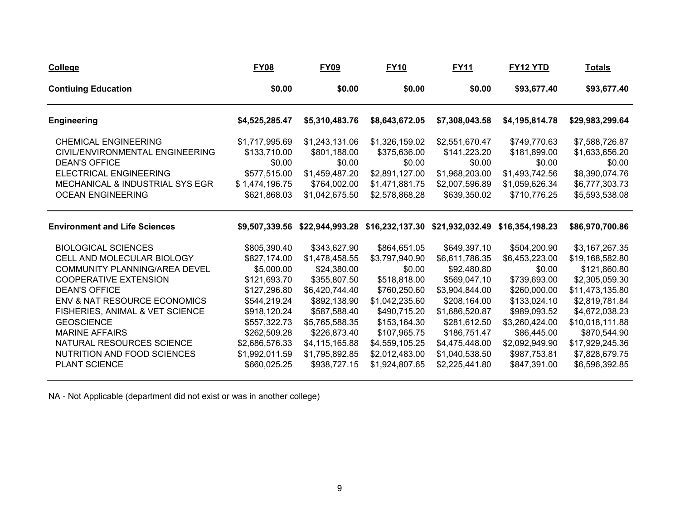| <b>College</b>                                                                                                                                                                                                                                                                                                                                         | <b>FY08</b>                                                                                                                                                                                    | <b>FY09</b>                                                                                                                                                                                           | <b>FY10</b>                                                                                                                                                                                      | <b>FY11</b>                                                                                                                                                                                             | FY12 YTD                                                                                                                                                                                    | <b>Totals</b>                                                                                                                                                                                                        |
|--------------------------------------------------------------------------------------------------------------------------------------------------------------------------------------------------------------------------------------------------------------------------------------------------------------------------------------------------------|------------------------------------------------------------------------------------------------------------------------------------------------------------------------------------------------|-------------------------------------------------------------------------------------------------------------------------------------------------------------------------------------------------------|--------------------------------------------------------------------------------------------------------------------------------------------------------------------------------------------------|---------------------------------------------------------------------------------------------------------------------------------------------------------------------------------------------------------|---------------------------------------------------------------------------------------------------------------------------------------------------------------------------------------------|----------------------------------------------------------------------------------------------------------------------------------------------------------------------------------------------------------------------|
| <b>Contiuing Education</b>                                                                                                                                                                                                                                                                                                                             | \$0.00                                                                                                                                                                                         | \$0.00                                                                                                                                                                                                | \$0.00                                                                                                                                                                                           | \$0.00                                                                                                                                                                                                  | \$93,677.40                                                                                                                                                                                 | \$93,677.40                                                                                                                                                                                                          |
| <b>Engineering</b>                                                                                                                                                                                                                                                                                                                                     | \$4,525,285.47                                                                                                                                                                                 | \$5,310,483.76                                                                                                                                                                                        | \$8,643,672.05                                                                                                                                                                                   | \$7,308,043.58                                                                                                                                                                                          | \$4,195,814.78                                                                                                                                                                              | \$29,983,299.64                                                                                                                                                                                                      |
| <b>CHEMICAL ENGINEERING</b><br>CIVIL/ENVIRONMENTAL ENGINEERING<br><b>DEAN'S OFFICE</b><br>ELECTRICAL ENGINEERING<br>MECHANICAL & INDUSTRIAL SYS EGR<br><b>OCEAN ENGINEERING</b>                                                                                                                                                                        | \$1,717,995.69<br>\$133,710.00<br>\$0.00<br>\$577,515.00<br>\$1,474,196.75<br>\$621,868.03                                                                                                     | \$1,243,131.06<br>\$801,188.00<br>\$0.00<br>\$1,459,487.20<br>\$764,002.00<br>\$1,042,675.50                                                                                                          | \$1,326,159.02<br>\$375,636.00<br>\$0.00<br>\$2,891,127.00<br>\$1,471,881.75<br>\$2,578,868.28                                                                                                   | \$2,551,670.47<br>\$141,223.20<br>\$0.00<br>\$1,968,203.00<br>\$2,007,596.89<br>\$639,350.02                                                                                                            | \$749,770.63<br>\$181,899.00<br>\$0.00<br>\$1,493,742.56<br>\$1,059,626.34<br>\$710,776.25                                                                                                  | \$7,588,726.87<br>\$1,633,656.20<br>\$0.00<br>\$8,390,074.76<br>\$6,777,303.73<br>\$5,593,538.08                                                                                                                     |
| <b>Environment and Life Sciences</b>                                                                                                                                                                                                                                                                                                                   |                                                                                                                                                                                                |                                                                                                                                                                                                       |                                                                                                                                                                                                  | \$9,507,339.56 \$22,944,993.28 \$16,232,137.30 \$21,932,032.49 \$16,354,198.23                                                                                                                          |                                                                                                                                                                                             | \$86,970,700.86                                                                                                                                                                                                      |
| <b>BIOLOGICAL SCIENCES</b><br>CELL AND MOLECULAR BIOLOGY<br>COMMUNITY PLANNING/AREA DEVEL<br><b>COOPERATIVE EXTENSION</b><br><b>DEAN'S OFFICE</b><br>ENV & NAT RESOURCE ECONOMICS<br>FISHERIES, ANIMAL & VET SCIENCE<br><b>GEOSCIENCE</b><br><b>MARINE AFFAIRS</b><br>NATURAL RESOURCES SCIENCE<br>NUTRITION AND FOOD SCIENCES<br><b>PLANT SCIENCE</b> | \$805,390.40<br>\$827,174.00<br>\$5,000.00<br>\$121,693.70<br>\$127,296.80<br>\$544,219.24<br>\$918,120.24<br>\$557,322.73<br>\$262,509.28<br>\$2,686,576.33<br>\$1,992,011.59<br>\$660,025.25 | \$343,627.90<br>\$1,478,458.55<br>\$24,380.00<br>\$355,807.50<br>\$6,420,744.40<br>\$892,138.90<br>\$587,588.40<br>\$5,765,588.35<br>\$226,873.40<br>\$4,115,165.88<br>\$1,795,892.85<br>\$938,727.15 | \$864,651.05<br>\$3,797,940.90<br>\$0.00<br>\$518,818.00<br>\$760,250.60<br>\$1,042,235.60<br>\$490,715.20<br>\$153,164.30<br>\$107,965.75<br>\$4,559,105.25<br>\$2,012,483.00<br>\$1,924,807.65 | \$649,397.10<br>\$6,611,786.35<br>\$92,480.80<br>\$569,047.10<br>\$3,904,844.00<br>\$208,164.00<br>\$1,686,520.87<br>\$281,612.50<br>\$186,751.47<br>\$4,475,448.00<br>\$1,040,538.50<br>\$2,225,441.80 | \$504,200.90<br>\$6,453,223.00<br>\$0.00<br>\$739,693.00<br>\$260,000.00<br>\$133,024.10<br>\$989,093.52<br>\$3,260,424.00<br>\$86,445.00<br>\$2,092,949.90<br>\$987,753.81<br>\$847,391.00 | \$3,167,267.35<br>\$19,168,582.80<br>\$121,860.80<br>\$2,305,059.30<br>\$11,473,135.80<br>\$2,819,781.84<br>\$4,672,038.23<br>\$10,018,111.88<br>\$870,544.90<br>\$17,929,245.36<br>\$7,828,679.75<br>\$6,596,392.85 |

NA - Not Applicable (department did not exist or was in another college)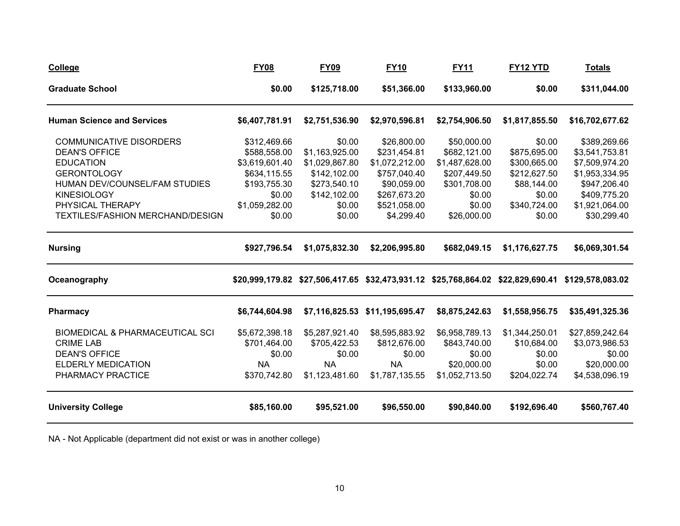| <b>College</b>                             | <b>FY08</b>    | <b>FY09</b>    | <b>FY10</b>                    | <u>FY11</u>    | <b>FY12 YTD</b> | <b>Totals</b>                                                                                    |
|--------------------------------------------|----------------|----------------|--------------------------------|----------------|-----------------|--------------------------------------------------------------------------------------------------|
| <b>Graduate School</b>                     | \$0.00         | \$125,718.00   | \$51,366.00                    | \$133,960.00   | \$0.00          | \$311,044.00                                                                                     |
| <b>Human Science and Services</b>          | \$6,407,781.91 | \$2,751,536.90 | \$2,970,596.81                 | \$2,754,906.50 | \$1,817,855.50  | \$16,702,677.62                                                                                  |
| <b>COMMUNICATIVE DISORDERS</b>             | \$312,469.66   | \$0.00         | \$26,800.00                    | \$50,000.00    | \$0.00          | \$389,269.66                                                                                     |
| <b>DEAN'S OFFICE</b>                       | \$588,558.00   | \$1,163,925.00 | \$231,454.81                   | \$682,121.00   | \$875,695.00    | \$3,541,753.81                                                                                   |
| <b>EDUCATION</b>                           | \$3,619,601.40 | \$1,029,867.80 | \$1,072,212.00                 | \$1,487,628.00 | \$300,665.00    | \$7,509,974.20                                                                                   |
| <b>GERONTOLOGY</b>                         | \$634,115.55   | \$142,102.00   | \$757,040.40                   | \$207,449.50   | \$212,627.50    | \$1,953,334.95                                                                                   |
| HUMAN DEV/COUNSEL/FAM STUDIES              | \$193,755.30   | \$273,540.10   | \$90,059.00                    | \$301,708.00   | \$88,144.00     | \$947,206.40                                                                                     |
| <b>KINESIOLOGY</b>                         | \$0.00         | \$142,102.00   | \$267,673.20                   | \$0.00         | \$0.00          | \$409,775.20                                                                                     |
| PHYSICAL THERAPY                           | \$1,059,282.00 | \$0.00         | \$521,058.00                   | \$0.00         | \$340,724.00    | \$1,921,064.00                                                                                   |
| TEXTILES/FASHION MERCHAND/DESIGN           | \$0.00         | \$0.00         | \$4,299.40                     | \$26,000.00    | \$0.00          | \$30,299.40                                                                                      |
| <b>Nursing</b>                             | \$927,796.54   | \$1,075,832.30 | \$2,206,995.80                 | \$682,049.15   | \$1,176,627.75  | \$6,069,301.54                                                                                   |
| Oceanography                               |                |                |                                |                |                 | \$20,999,179.82 \$27,506,417.65 \$32,473,931.12 \$25,768,864.02 \$22,829,690.41 \$129,578,083.02 |
| <b>Pharmacy</b>                            | \$6,744,604.98 |                | \$7,116,825.53 \$11,195,695.47 | \$8,875,242.63 | \$1,558,956.75  | \$35,491,325.36                                                                                  |
| <b>BIOMEDICAL &amp; PHARMACEUTICAL SCI</b> | \$5,672,398.18 | \$5,287,921.40 | \$8,595,883.92                 | \$6,958,789.13 | \$1,344,250.01  | \$27,859,242.64                                                                                  |
| <b>CRIME LAB</b>                           | \$701,464.00   | \$705,422.53   | \$812,676.00                   | \$843,740.00   | \$10,684.00     | \$3,073,986.53                                                                                   |
| <b>DEAN'S OFFICE</b>                       | \$0.00         | \$0.00         | \$0.00                         | \$0.00         | \$0.00          | \$0.00                                                                                           |
| <b>ELDERLY MEDICATION</b>                  | <b>NA</b>      | <b>NA</b>      | <b>NA</b>                      | \$20,000.00    | \$0.00          | \$20,000.00                                                                                      |
| PHARMACY PRACTICE                          | \$370,742.80   | \$1,123,481.60 | \$1,787,135.55                 | \$1,052,713.50 | \$204,022.74    | \$4,538,096.19                                                                                   |
| <b>University College</b>                  | \$85,160.00    | \$95,521.00    | \$96,550.00                    | \$90,840.00    | \$192,696.40    | \$560,767.40                                                                                     |

NA - Not Applicable (department did not exist or was in another college)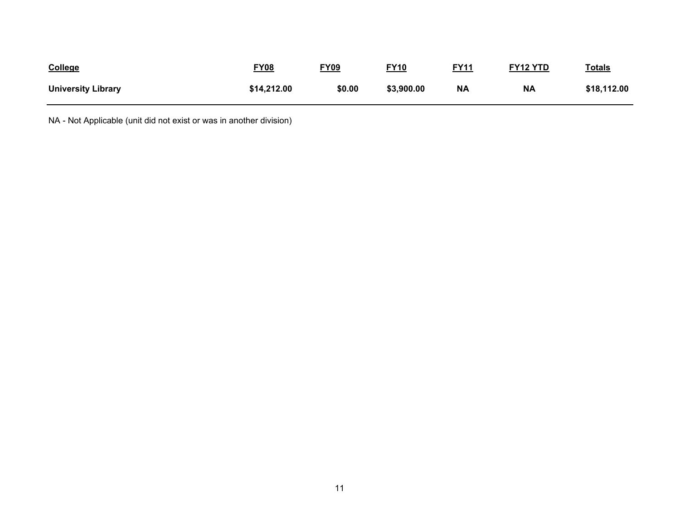| College                   | <u>FY08</u> | <b>FY09</b> | <b>FY10</b> | <b>FY11</b> | <b>FY12 YTD</b> | <u>Totals</u> |
|---------------------------|-------------|-------------|-------------|-------------|-----------------|---------------|
| <b>University Library</b> | \$14,212.00 | \$0.00      | \$3,900.00  | <b>NA</b>   | <b>NA</b>       | \$18,112.00   |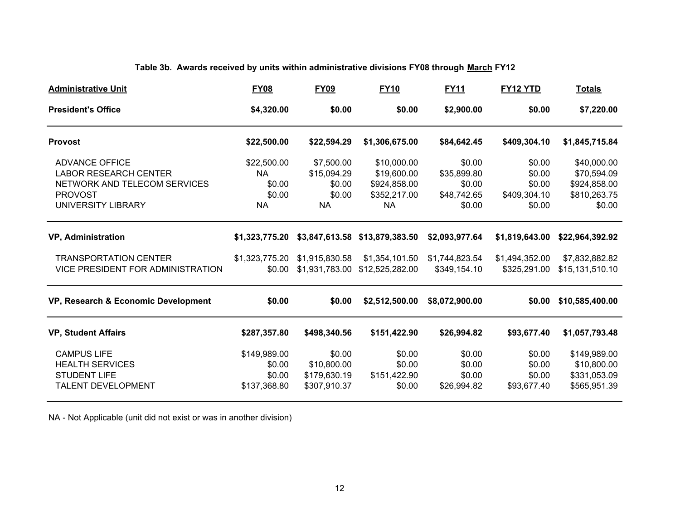# **Table 3b. Awards received by units within administrative divisions FY08 through March FY12**

| <b>Administrative Unit</b>          | <b>FY08</b>    | <b>FY09</b>    | <b>FY10</b>     | <b>FY11</b>    | FY12 YTD       | <u>Totals</u>   |
|-------------------------------------|----------------|----------------|-----------------|----------------|----------------|-----------------|
| <b>President's Office</b>           | \$4,320.00     | \$0.00         | \$0.00          | \$2,900.00     | \$0.00         | \$7,220.00      |
| <b>Provost</b>                      | \$22,500.00    | \$22,594.29    | \$1,306,675.00  | \$84,642.45    | \$409,304.10   | \$1,845,715.84  |
| <b>ADVANCE OFFICE</b>               | \$22,500.00    | \$7,500.00     | \$10,000.00     | \$0.00         | \$0.00         | \$40,000.00     |
| <b>LABOR RESEARCH CENTER</b>        | <b>NA</b>      | \$15,094.29    | \$19,600.00     | \$35,899.80    | \$0.00         | \$70,594.09     |
| NETWORK AND TELECOM SERVICES        | \$0.00         | \$0.00         | \$924,858.00    | \$0.00         | \$0.00         | \$924,858.00    |
| <b>PROVOST</b>                      | \$0.00         | \$0.00         | \$352,217.00    | \$48,742.65    | \$409,304.10   | \$810,263.75    |
| UNIVERSITY LIBRARY                  | <b>NA</b>      | <b>NA</b>      | <b>NA</b>       | \$0.00         | \$0.00         | \$0.00          |
| <b>VP, Administration</b>           | \$1,323,775.20 | \$3,847,613.58 | \$13,879,383.50 | \$2,093,977.64 | \$1,819,643.00 | \$22,964,392.92 |
| <b>TRANSPORTATION CENTER</b>        | \$1,323,775.20 | \$1,915,830.58 | \$1,354,101.50  | \$1,744,823.54 | \$1,494,352.00 | \$7,832,882.82  |
| VICE PRESIDENT FOR ADMINISTRATION   | \$0.00         | \$1,931,783.00 | \$12,525,282.00 | \$349,154.10   | \$325,291.00   | \$15,131,510.10 |
| VP, Research & Economic Development | \$0.00         | \$0.00         | \$2,512,500.00  | \$8,072,900.00 | \$0.00         | \$10,585,400.00 |
| <b>VP, Student Affairs</b>          | \$287,357.80   | \$498,340.56   | \$151,422.90    | \$26,994.82    | \$93,677.40    | \$1,057,793.48  |
| <b>CAMPUS LIFE</b>                  | \$149,989.00   | \$0.00         | \$0.00          | \$0.00         | \$0.00         | \$149,989.00    |
| <b>HEALTH SERVICES</b>              | \$0.00         | \$10,800.00    | \$0.00          | \$0.00         | \$0.00         | \$10,800.00     |
| <b>STUDENT LIFE</b>                 | \$0.00         | \$179,630.19   | \$151,422.90    | \$0.00         | \$0.00         | \$331,053.09    |
| <b>TALENT DEVELOPMENT</b>           | \$137,368.80   | \$307,910.37   | \$0.00          | \$26,994.82    | \$93,677.40    | \$565,951.39    |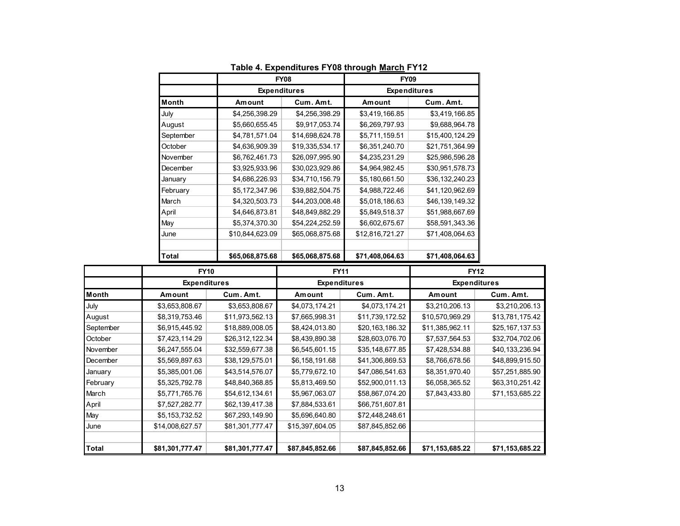|           |                     | <b>FY08</b>     | <b>FY09</b>         |                 |  |  |
|-----------|---------------------|-----------------|---------------------|-----------------|--|--|
|           | <b>Expenditures</b> |                 | <b>Expenditures</b> |                 |  |  |
| Month     | Amount              | Cum. Amt.       | Amount              | Cum. Amt.       |  |  |
| July      | \$4,256,398.29      | \$4,256,398.29  | \$3,419,166.85      | \$3,419,166.85  |  |  |
| August    | \$5,660,655.45      | \$9,917,053.74  | \$6,269,797.93      | \$9,688,964.78  |  |  |
| September | \$4,781,571.04      | \$14,698,624.78 | \$5,711,159.51      | \$15,400,124.29 |  |  |
| October   | \$4,636,909.39      | \$19,335,534.17 | \$6,351,240.70      | \$21,751,364.99 |  |  |
| November  | \$6,762,461.73      | \$26,097,995.90 | \$4,235,231.29      | \$25,986,596.28 |  |  |
| December  | \$3,925,933.96      | \$30,023,929.86 | \$4,964,982.45      | \$30,951,578.73 |  |  |
| January   | \$4,686,226.93      | \$34,710,156.79 | \$5,180,661.50      | \$36,132,240.23 |  |  |
| February  | \$5,172,347.96      | \$39,882,504.75 | \$4,988,722.46      | \$41,120,962.69 |  |  |
| March     | \$4,320,503.73      | \$44,203,008.48 | \$5,018,186.63      | \$46,139,149.32 |  |  |
| April     | \$4,646,873.81      | \$48,849,882.29 | \$5,849,518.37      | \$51,988,667.69 |  |  |
| May       | \$5,374,370.30      | \$54,224,252.59 | \$6,602,675.67      | \$58,591,343.36 |  |  |
| June      | \$10,844,623.09     | \$65,068,875.68 | \$12,816,721.27     | \$71,408,064.63 |  |  |
|           |                     |                 |                     |                 |  |  |
| Total     | \$65,068,875.68     | \$65,068,875.68 | \$71,408,064.63     | \$71,408,064.63 |  |  |

**Table 4. Expenditures FY08 through March FY12**

|           |                 | <b>FY10</b><br><b>Expenditures</b> |                 | <b>FY11</b>         | <b>FY12</b><br><b>Expenditures</b> |                 |  |
|-----------|-----------------|------------------------------------|-----------------|---------------------|------------------------------------|-----------------|--|
|           |                 |                                    |                 | <b>Expenditures</b> |                                    |                 |  |
| Month     | Amount          | Cum. Amt.                          | Amount          | Cum. Amt.           | Amount                             | Cum. Amt.       |  |
| July      | \$3,653,808.67  | \$3,653,808.67                     | \$4,073,174.21  | \$4,073,174.21      | \$3,210,206.13                     | \$3,210,206.13  |  |
| August    | \$8,319,753.46  | \$11,973,562.13                    | \$7,665,998.31  | \$11,739,172.52     | \$10,570,969.29                    | \$13,781,175.42 |  |
| September | \$6,915,445.92  | \$18,889,008.05                    | \$8,424,013.80  | \$20,163,186.32     | \$11,385,962.11                    | \$25,167,137.53 |  |
| October   | \$7,423,114.29  | \$26,312,122.34                    | \$8,439,890.38  | \$28,603,076.70     | \$7,537,564.53                     | \$32,704,702.06 |  |
| November  | \$6,247,555.04  | \$32,559,677.38                    | \$6,545,601.15  | \$35,148,677.85     | \$7,428,534.88                     | \$40,133,236.94 |  |
| December  | \$5,569,897.63  | \$38,129,575.01                    | \$6,158,191.68  | \$41,306,869.53     | \$8,766,678.56                     | \$48,899,915.50 |  |
| January   | \$5,385,001.06  | \$43,514,576.07                    | \$5,779,672.10  | \$47,086,541.63     | \$8,351,970.40                     | \$57,251,885.90 |  |
| February  | \$5,325,792.78  | \$48,840,368.85                    | \$5,813,469.50  | \$52,900,011.13     | \$6,058,365.52                     | \$63,310,251.42 |  |
| March     | \$5,771,765.76  | \$54,612,134.61                    | \$5,967,063.07  | \$58,867,074.20     | \$7,843,433.80                     | \$71,153,685.22 |  |
| April     | \$7,527,282.77  | \$62,139,417.38                    | \$7,884,533.61  | \$66,751,607.81     |                                    |                 |  |
| May       | \$5,153,732.52  | \$67,293,149.90                    | \$5,696,640.80  | \$72,448,248.61     |                                    |                 |  |
| June      | \$14,008,627.57 | \$81,301,777.47                    | \$15,397,604.05 | \$87,845,852.66     |                                    |                 |  |
| Total     | \$81,301,777.47 | \$81,301,777.47                    | \$87,845,852.66 | \$87,845,852.66     | \$71,153,685.22                    | \$71,153,685.22 |  |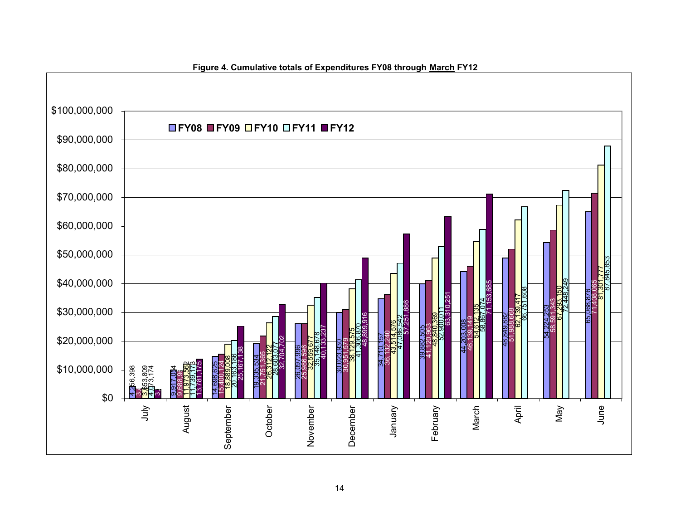

**Figure 4. Cumulative totals of Expenditures FY08 through March FY12**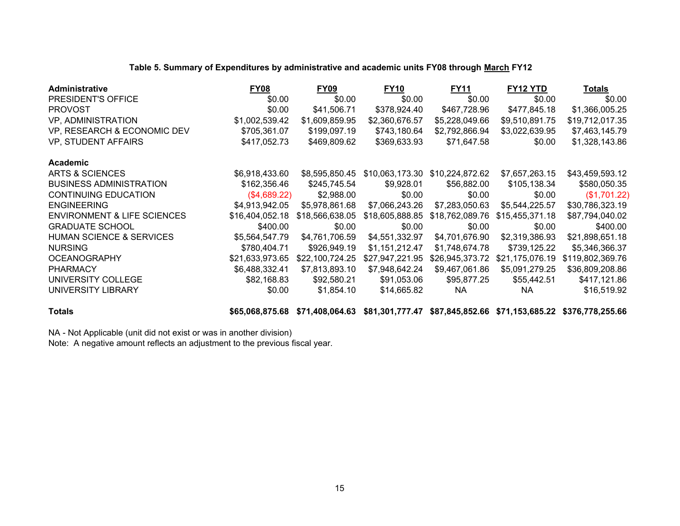| <b>Administrative</b>                  | <b>FY08</b>     | <b>FY09</b>     | <b>FY10</b>     | <b>FY11</b>                     | FY12 YTD        | <b>Totals</b>    |
|----------------------------------------|-----------------|-----------------|-----------------|---------------------------------|-----------------|------------------|
| PRESIDENT'S OFFICE                     | \$0.00          | \$0.00          | \$0.00          | \$0.00                          | \$0.00          | \$0.00           |
| <b>PROVOST</b>                         | \$0.00          | \$41,506.71     | \$378,924.40    | \$467,728.96                    | \$477,845.18    | \$1,366,005.25   |
| VP, ADMINISTRATION                     | \$1,002,539.42  | \$1,609,859.95  | \$2,360,676.57  | \$5,228,049.66                  | \$9,510,891.75  | \$19,712,017.35  |
| VP, RESEARCH & ECONOMIC DEV            | \$705,361.07    | \$199,097.19    | \$743,180.64    | \$2,792,866.94                  | \$3,022,639.95  | \$7,463,145.79   |
| <b>VP, STUDENT AFFAIRS</b>             | \$417,052.73    | \$469,809.62    | \$369,633.93    | \$71,647.58                     | \$0.00          | \$1,328,143.86   |
| Academic                               |                 |                 |                 |                                 |                 |                  |
| ARTS & SCIENCES                        | \$6,918,433.60  | \$8,595,850.45  |                 | \$10,063,173.30 \$10,224,872.62 | \$7,657,263.15  | \$43,459,593.12  |
| <b>BUSINESS ADMINISTRATION</b>         | \$162,356.46    | \$245,745.54    | \$9,928.01      | \$56,882.00                     | \$105,138.34    | \$580,050.35     |
| <b>CONTINUING EDUCATION</b>            | (\$4,689.22)    | \$2,988.00      | \$0.00          | \$0.00                          | \$0.00          | (\$1,701.22)     |
| <b>ENGINEERING</b>                     | \$4,913,942.05  | \$5,978,861.68  | \$7,066,243.26  | \$7,283,050.63                  | \$5,544,225.57  | \$30,786,323.19  |
| <b>ENVIRONMENT &amp; LIFE SCIENCES</b> | \$16,404,052.18 | \$18,566,638.05 | \$18,605,888.85 | \$18,762,089.76                 | \$15,455,371.18 | \$87,794,040.02  |
| <b>GRADUATE SCHOOL</b>                 | \$400.00        | \$0.00          | \$0.00          | \$0.00                          | \$0.00          | \$400.00         |
| <b>HUMAN SCIENCE &amp; SERVICES</b>    | \$5,564,547.79  | \$4,761,706.59  | \$4,551,332.97  | \$4,701,676.90                  | \$2,319,386.93  | \$21,898,651.18  |
| <b>NURSING</b>                         | \$780,404.71    | \$926,949.19    | \$1,151,212.47  | \$1,748,674.78                  | \$739,125.22    | \$5,346,366.37   |
| <b>OCEANOGRAPHY</b>                    | \$21,633,973.65 | \$22,100,724.25 | \$27,947,221.95 | \$26,945,373.72                 | \$21,175,076.19 | \$119,802,369.76 |
| <b>PHARMACY</b>                        | \$6,488,332.41  | \$7,813,893.10  | \$7,948,642.24  | \$9,467,061.86                  | \$5,091,279.25  | \$36,809,208.86  |
| UNIVERSITY COLLEGE                     | \$82,168.83     | \$92,580.21     | \$91,053.06     | \$95,877.25                     | \$55,442.51     | \$417,121.86     |
| UNIVERSITY LIBRARY                     | \$0.00          | \$1,854.10      | \$14,665.82     | <b>NA</b>                       | <b>NA</b>       | \$16,519.92      |
|                                        |                 |                 |                 |                                 |                 |                  |

#### **Table 5. Summary of Expenditures by administrative and academic units FY08 through March FY12**

**Totals \$65,068,875.68 \$71,408,064.63 \$81,301,777.47 \$87,845,852.66 \$71,153,685.22 \$376,778,255.66**

NA - Not Applicable (unit did not exist or was in another division)

Note: A negative amount reflects an adjustment to the previous fiscal year.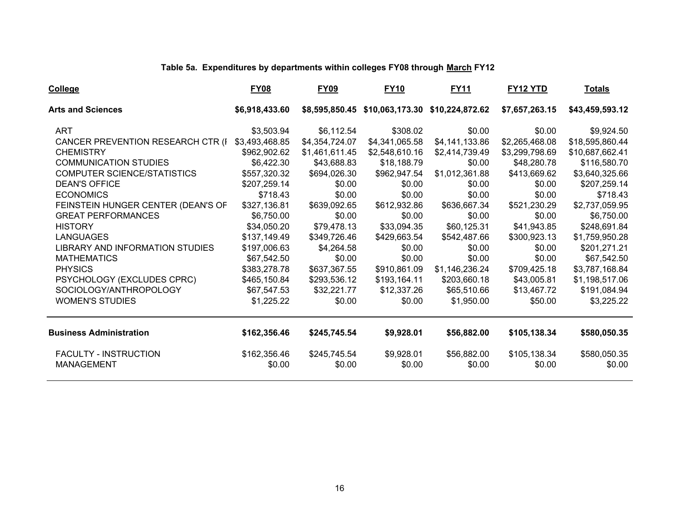# **Table 5a. Expenditures by departments within colleges FY08 through March FY12**

| College                                           | <b>FY08</b>            | <b>FY09</b>            | <b>FY10</b>                                    | <b>FY11</b>           | <b>FY12 YTD</b>        | <b>Totals</b>          |
|---------------------------------------------------|------------------------|------------------------|------------------------------------------------|-----------------------|------------------------|------------------------|
| <b>Arts and Sciences</b>                          | \$6,918,433.60         |                        | \$8,595,850.45 \$10,063,173.30 \$10,224,872.62 |                       | \$7,657,263.15         | \$43,459,593.12        |
| <b>ART</b>                                        | \$3,503.94             | \$6,112.54             | \$308.02                                       | \$0.00                | \$0.00                 | \$9,924.50             |
| CANCER PREVENTION RESEARCH CTR (I                 | \$3,493,468.85         | \$4,354,724.07         | \$4,341,065.58                                 | \$4,141,133.86        | \$2,265,468.08         | \$18,595,860.44        |
| <b>CHEMISTRY</b>                                  | \$962,902.62           | \$1,461,611.45         | \$2,548,610.16                                 | \$2,414,739.49        | \$3,299,798.69         | \$10,687,662.41        |
| <b>COMMUNICATION STUDIES</b>                      | \$6,422.30             | \$43,688.83            | \$18,188.79                                    | \$0.00                | \$48,280.78            | \$116,580.70           |
| COMPUTER SCIENCE/STATISTICS                       | \$557,320.32           | \$694,026.30           | \$962,947.54                                   | \$1,012,361.88        | \$413,669.62           | \$3,640,325.66         |
| <b>DEAN'S OFFICE</b>                              | \$207,259.14           | \$0.00                 | \$0.00                                         | \$0.00                | \$0.00                 | \$207,259.14           |
| <b>ECONOMICS</b>                                  | \$718.43               | \$0.00                 | \$0.00                                         | \$0.00                | \$0.00                 | \$718.43               |
| FEINSTEIN HUNGER CENTER (DEAN'S OF                | \$327,136.81           | \$639,092.65           | \$612,932.86                                   | \$636,667.34          | \$521,230.29           | \$2,737,059.95         |
| <b>GREAT PERFORMANCES</b>                         | \$6,750.00             | \$0.00                 | \$0.00                                         | \$0.00                | \$0.00                 | \$6,750.00             |
| <b>HISTORY</b>                                    | \$34,050.20            | \$79,478.13            | \$33,094.35                                    | \$60,125.31           | \$41,943.85            | \$248,691.84           |
| <b>LANGUAGES</b>                                  | \$137,149.49           | \$349,726.46           | \$429,663.54                                   | \$542,487.66          | \$300,923.13           | \$1,759,950.28         |
| LIBRARY AND INFORMATION STUDIES                   | \$197,006.63           | \$4,264.58             | \$0.00                                         | \$0.00                | \$0.00                 | \$201,271.21           |
| <b>MATHEMATICS</b>                                | \$67,542.50            | \$0.00                 | \$0.00                                         | \$0.00                | \$0.00                 | \$67,542.50            |
| <b>PHYSICS</b>                                    | \$383,278.78           | \$637,367.55           | \$910,861.09                                   | \$1,146,236.24        | \$709,425.18           | \$3,787,168.84         |
| PSYCHOLOGY (EXCLUDES CPRC)                        | \$465,150.84           | \$293,536.12           | \$193,164.11                                   | \$203,660.18          | \$43,005.81            | \$1,198,517.06         |
| SOCIOLOGY/ANTHROPOLOGY                            | \$67,547.53            | \$32,221.77            | \$12,337.26                                    | \$65,510.66           | \$13,467.72            | \$191,084.94           |
| <b>WOMEN'S STUDIES</b>                            | \$1,225.22             | \$0.00                 | \$0.00                                         | \$1,950.00            | \$50.00                | \$3,225.22             |
| <b>Business Administration</b>                    | \$162,356.46           | \$245,745.54           | \$9,928.01                                     | \$56,882.00           | \$105,138.34           | \$580,050.35           |
| <b>FACULTY - INSTRUCTION</b><br><b>MANAGEMENT</b> | \$162,356.46<br>\$0.00 | \$245,745.54<br>\$0.00 | \$9,928.01<br>\$0.00                           | \$56,882.00<br>\$0.00 | \$105,138.34<br>\$0.00 | \$580,050.35<br>\$0.00 |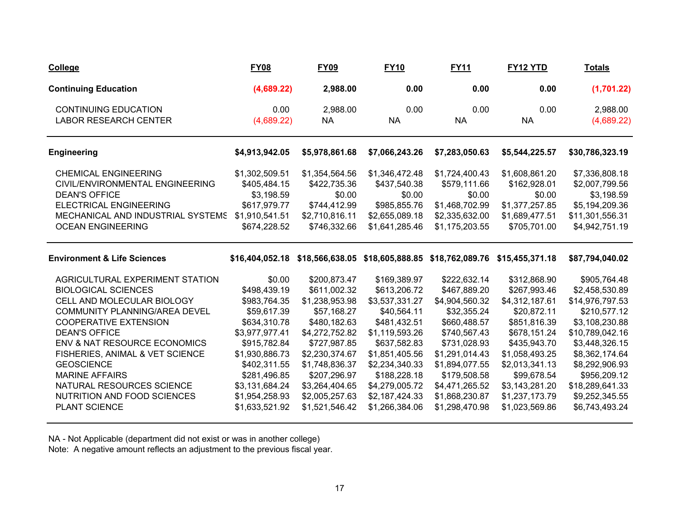| College                                                                                                                                                                                                                                                                                                                                                                            | <b>FY08</b>                                                                                                                                                                                                     | <b>FY09</b>                                                                                                                                                                                                               | <b>FY10</b>                                                                                                                                                                                                               | <b>FY11</b>                                                                                                                                                                                                             | <b>FY12 YTD</b>                                                                                                                                                                                                        | <b>Totals</b>                                                                                                                                                                                                                       |
|------------------------------------------------------------------------------------------------------------------------------------------------------------------------------------------------------------------------------------------------------------------------------------------------------------------------------------------------------------------------------------|-----------------------------------------------------------------------------------------------------------------------------------------------------------------------------------------------------------------|---------------------------------------------------------------------------------------------------------------------------------------------------------------------------------------------------------------------------|---------------------------------------------------------------------------------------------------------------------------------------------------------------------------------------------------------------------------|-------------------------------------------------------------------------------------------------------------------------------------------------------------------------------------------------------------------------|------------------------------------------------------------------------------------------------------------------------------------------------------------------------------------------------------------------------|-------------------------------------------------------------------------------------------------------------------------------------------------------------------------------------------------------------------------------------|
| <b>Continuing Education</b>                                                                                                                                                                                                                                                                                                                                                        | (4,689.22)                                                                                                                                                                                                      | 2,988.00                                                                                                                                                                                                                  | 0.00                                                                                                                                                                                                                      | 0.00                                                                                                                                                                                                                    | 0.00                                                                                                                                                                                                                   | (1,701.22)                                                                                                                                                                                                                          |
| <b>CONTINUING EDUCATION</b><br><b>LABOR RESEARCH CENTER</b>                                                                                                                                                                                                                                                                                                                        | 0.00<br>(4,689.22)                                                                                                                                                                                              | 2,988.00<br><b>NA</b>                                                                                                                                                                                                     | 0.00<br><b>NA</b>                                                                                                                                                                                                         | 0.00<br><b>NA</b>                                                                                                                                                                                                       | 0.00<br><b>NA</b>                                                                                                                                                                                                      | 2,988.00<br>(4,689.22)                                                                                                                                                                                                              |
| <b>Engineering</b>                                                                                                                                                                                                                                                                                                                                                                 | \$4,913,942.05                                                                                                                                                                                                  | \$5,978,861.68                                                                                                                                                                                                            | \$7,066,243.26                                                                                                                                                                                                            | \$7,283,050.63                                                                                                                                                                                                          | \$5,544,225.57                                                                                                                                                                                                         | \$30,786,323.19                                                                                                                                                                                                                     |
| <b>CHEMICAL ENGINEERING</b><br>CIVIL/ENVIRONMENTAL ENGINEERING<br><b>DEAN'S OFFICE</b><br>ELECTRICAL ENGINEERING<br>MECHANICAL AND INDUSTRIAL SYSTEMS<br><b>OCEAN ENGINEERING</b>                                                                                                                                                                                                  | \$1,302,509.51<br>\$405,484.15<br>\$3,198.59<br>\$617,979.77<br>\$1,910,541.51<br>\$674,228.52                                                                                                                  | \$1,354,564.56<br>\$422,735.36<br>\$0.00<br>\$744,412.99<br>\$2,710,816.11<br>\$746,332.66                                                                                                                                | \$1,346,472.48<br>\$437,540.38<br>\$0.00<br>\$985,855.76<br>\$2,655,089.18<br>\$1,641,285.46                                                                                                                              | \$1,724,400.43<br>\$579,111.66<br>\$0.00<br>\$1,468,702.99<br>\$2,335,632.00<br>\$1,175,203.55                                                                                                                          | \$1,608,861.20<br>\$162,928.01<br>\$0.00<br>\$1,377,257.85<br>\$1,689,477.51<br>\$705,701.00                                                                                                                           | \$7,336,808.18<br>\$2,007,799.56<br>\$3,198.59<br>\$5,194,209.36<br>\$11,301,556.31<br>\$4,942,751.19                                                                                                                               |
| <b>Environment &amp; Life Sciences</b>                                                                                                                                                                                                                                                                                                                                             |                                                                                                                                                                                                                 |                                                                                                                                                                                                                           |                                                                                                                                                                                                                           | \$16,404,052.18 \$18,566,638.05 \$18,605,888.85 \$18,762,089.76 \$15,455,371.18                                                                                                                                         |                                                                                                                                                                                                                        | \$87,794,040.02                                                                                                                                                                                                                     |
| AGRICULTURAL EXPERIMENT STATION<br><b>BIOLOGICAL SCIENCES</b><br>CELL AND MOLECULAR BIOLOGY<br>COMMUNITY PLANNING/AREA DEVEL<br><b>COOPERATIVE EXTENSION</b><br><b>DEAN'S OFFICE</b><br>ENV & NAT RESOURCE ECONOMICS<br>FISHERIES, ANIMAL & VET SCIENCE<br><b>GEOSCIENCE</b><br><b>MARINE AFFAIRS</b><br>NATURAL RESOURCES SCIENCE<br>NUTRITION AND FOOD SCIENCES<br>PLANT SCIENCE | \$0.00<br>\$498,439.19<br>\$983,764.35<br>\$59,617.39<br>\$634,310.78<br>\$3,977,977.41<br>\$915,782.84<br>\$1,930,886.73<br>\$402,311.55<br>\$281,496.85<br>\$3,131,684.24<br>\$1,954,258.93<br>\$1,633,521.92 | \$200,873.47<br>\$611,002.32<br>\$1,238,953.98<br>\$57,168.27<br>\$480,182.63<br>\$4,272,752.82<br>\$727,987.85<br>\$2,230,374.67<br>\$1,748,836.37<br>\$207,296.97<br>\$3,264,404.65<br>\$2,005,257.63<br>\$1,521,546.42 | \$169,389.97<br>\$613,206.72<br>\$3,537,331.27<br>\$40,564.11<br>\$481,432.51<br>\$1,119,593.26<br>\$637,582.83<br>\$1,851,405.56<br>\$2,234,340.33<br>\$188,228.18<br>\$4,279,005.72<br>\$2,187,424.33<br>\$1,266,384.06 | \$222,632.14<br>\$467,889.20<br>\$4,904,560.32<br>\$32,355.24<br>\$660,488.57<br>\$740,567.43<br>\$731,028.93<br>\$1,291,014.43<br>\$1,894,077.55<br>\$179,508.58<br>\$4,471,265.52<br>\$1,868,230.87<br>\$1,298,470.98 | \$312,868.90<br>\$267,993.46<br>\$4,312,187.61<br>\$20,872.11<br>\$851,816.39<br>\$678,151.24<br>\$435,943.70<br>\$1,058,493.25<br>\$2,013,341.13<br>\$99,678.54<br>\$3,143,281.20<br>\$1,237,173.79<br>\$1,023,569.86 | \$905,764.48<br>\$2,458,530.89<br>\$14,976,797.53<br>\$210,577.12<br>\$3,108,230.88<br>\$10,789,042.16<br>\$3,448,326.15<br>\$8,362,174.64<br>\$8,292,906.93<br>\$956,209.12<br>\$18,289,641.33<br>\$9,252,345.55<br>\$6,743,493.24 |

NA - Not Applicable (department did not exist or was in another college)

Note: A negative amount reflects an adjustment to the previous fiscal year.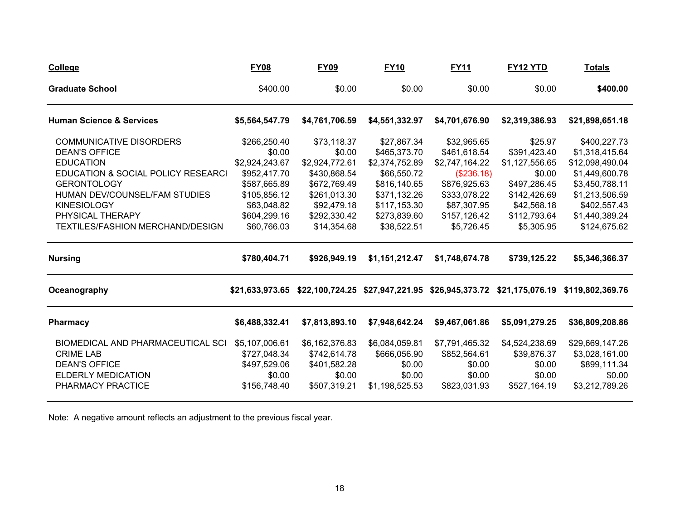| <b>College</b>                      | <b>FY08</b>     | <b>FY09</b>    | <b>FY10</b>    | <b>FY11</b>                                                     | <b>FY12 YTD</b> | <b>Totals</b>    |
|-------------------------------------|-----------------|----------------|----------------|-----------------------------------------------------------------|-----------------|------------------|
| <b>Graduate School</b>              | \$400.00        | \$0.00         | \$0.00         | \$0.00                                                          | \$0.00          | \$400.00         |
| <b>Human Science &amp; Services</b> | \$5,564,547.79  | \$4,761,706.59 | \$4,551,332.97 | \$4,701,676.90                                                  | \$2,319,386.93  | \$21,898,651.18  |
| <b>COMMUNICATIVE DISORDERS</b>      | \$266,250.40    | \$73,118.37    | \$27,867.34    | \$32,965.65                                                     | \$25.97         | \$400,227.73     |
| <b>DEAN'S OFFICE</b>                | \$0.00          | \$0.00         | \$465,373.70   | \$461,618.54                                                    | \$391,423.40    | \$1,318,415.64   |
| <b>EDUCATION</b>                    | \$2,924,243.67  | \$2,924,772.61 | \$2,374,752.89 | \$2,747,164.22                                                  | \$1,127,556.65  | \$12,098,490.04  |
| EDUCATION & SOCIAL POLICY RESEARCI  | \$952,417.70    | \$430,868.54   | \$66,550.72    | (\$236.18)                                                      | \$0.00          | \$1,449,600.78   |
| <b>GERONTOLOGY</b>                  | \$587,665.89    | \$672,769.49   | \$816,140.65   | \$876,925.63                                                    | \$497,286.45    | \$3,450,788.11   |
| HUMAN DEV/COUNSEL/FAM STUDIES       | \$105,856.12    | \$261,013.30   | \$371,132.26   | \$333,078.22                                                    | \$142,426.69    | \$1,213,506.59   |
| <b>KINESIOLOGY</b>                  | \$63,048.82     | \$92,479.18    | \$117,153.30   | \$87,307.95                                                     | \$42,568.18     | \$402,557.43     |
| PHYSICAL THERAPY                    | \$604,299.16    | \$292,330.42   | \$273,839.60   | \$157,126.42                                                    | \$112,793.64    | \$1,440,389.24   |
| TEXTILES/FASHION MERCHAND/DESIGN    | \$60,766.03     | \$14,354.68    | \$38,522.51    | \$5,726.45                                                      | \$5,305.95      | \$124,675.62     |
| <b>Nursing</b>                      | \$780,404.71    | \$926,949.19   | \$1,151,212.47 | \$1,748,674.78                                                  | \$739,125.22    | \$5,346,366.37   |
| Oceanography                        | \$21.633.973.65 |                |                | \$22,100,724.25 \$27,947,221.95 \$26,945,373.72 \$21,175,076.19 |                 | \$119,802,369.76 |
| Pharmacy                            | \$6,488,332.41  | \$7,813,893.10 | \$7,948,642.24 | \$9,467,061.86                                                  | \$5,091,279.25  | \$36,809,208.86  |
| BIOMEDICAL AND PHARMACEUTICAL SCI   | \$5,107,006.61  | \$6,162,376.83 | \$6,084,059.81 | \$7,791,465.32                                                  | \$4,524,238.69  | \$29,669,147.26  |
| <b>CRIME LAB</b>                    | \$727,048.34    | \$742,614.78   | \$666,056.90   | \$852,564.61                                                    | \$39,876.37     | \$3,028,161.00   |
| <b>DEAN'S OFFICE</b>                | \$497,529.06    | \$401,582.28   | \$0.00         | \$0.00                                                          | \$0.00          | \$899,111.34     |
| <b>ELDERLY MEDICATION</b>           | \$0.00          | \$0.00         | \$0.00         | \$0.00                                                          | \$0.00          | \$0.00           |
| PHARMACY PRACTICE                   | \$156,748.40    | \$507,319.21   | \$1,198,525.53 | \$823,031.93                                                    | \$527,164.19    | \$3,212,789.26   |

Note: A negative amount reflects an adjustment to the previous fiscal year.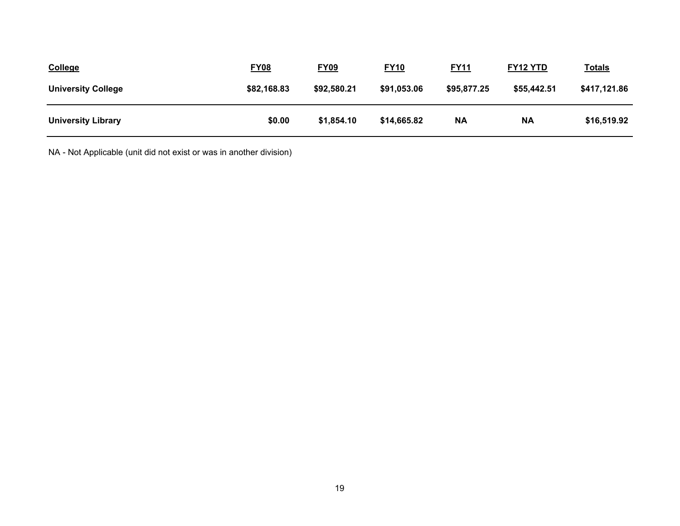| <b>College</b>            | <b>FY08</b> | <b>FY09</b> | <b>FY10</b> | <b>FY11</b> | <b>FY12 YTD</b> | <u>Totals</u> |
|---------------------------|-------------|-------------|-------------|-------------|-----------------|---------------|
| <b>University College</b> | \$82,168.83 | \$92,580.21 | \$91,053.06 | \$95,877.25 | \$55,442.51     | \$417,121.86  |
| <b>University Library</b> | \$0.00      | \$1,854.10  | \$14,665.82 | <b>NA</b>   | <b>NA</b>       | \$16,519.92   |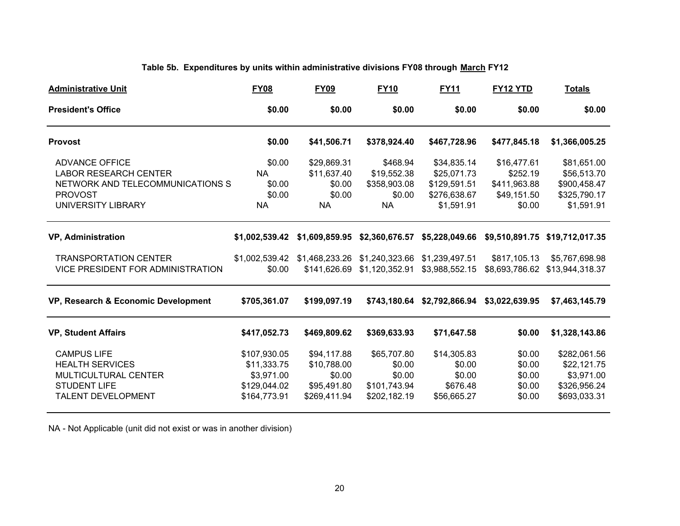# **Table 5b. Expenditures by units within administrative divisions FY08 through March FY12**

| <b>Administrative Unit</b>          | <b>FY08</b>    | <b>FY09</b>  | <b>FY10</b>    | <b>FY11</b>                 | FY12 YTD       | <b>Totals</b>                                                               |
|-------------------------------------|----------------|--------------|----------------|-----------------------------|----------------|-----------------------------------------------------------------------------|
| <b>President's Office</b>           | \$0.00         | \$0.00       | \$0.00         | \$0.00                      | \$0.00         | \$0.00                                                                      |
| <b>Provost</b>                      | \$0.00         | \$41,506.71  | \$378,924.40   | \$467,728.96                | \$477,845.18   | \$1,366,005.25                                                              |
| <b>ADVANCE OFFICE</b>               | \$0.00         | \$29,869.31  | \$468.94       | \$34,835.14                 | \$16,477.61    | \$81,651.00                                                                 |
| <b>LABOR RESEARCH CENTER</b>        | <b>NA</b>      | \$11,637.40  | \$19,552.38    | \$25,071.73                 | \$252.19       | \$56,513.70                                                                 |
| NETWORK AND TELECOMMUNICATIONS S    | \$0.00         | \$0.00       | \$358,903.08   | \$129,591.51                | \$411,963.88   | \$900,458.47                                                                |
| <b>PROVOST</b>                      | \$0.00         | \$0.00       | \$0.00         | \$276,638.67                | \$49,151.50    | \$325,790.17                                                                |
| UNIVERSITY LIBRARY                  | <b>NA</b>      | <b>NA</b>    | <b>NA</b>      | \$1,591.91                  | \$0.00         | \$1,591.91                                                                  |
| <b>VP, Administration</b>           | \$1,002,539.42 |              |                |                             |                | \$1,609,859.95 \$2,360,676.57 \$5,228,049.66 \$9,510,891.75 \$19,712,017.35 |
| <b>TRANSPORTATION CENTER</b>        |                |              |                | \$1,239,497.51              | \$817,105.13   | \$5,767,698.98                                                              |
| VICE PRESIDENT FOR ADMINISTRATION   | \$0.00         | \$141,626.69 | \$1,120,352.91 | \$3,988,552.15              |                |                                                                             |
| VP, Research & Economic Development | \$705,361.07   | \$199,097.19 |                | \$743,180.64 \$2,792,866.94 | \$3,022,639.95 | \$7,463,145.79                                                              |
| <b>VP, Student Affairs</b>          | \$417,052.73   | \$469,809.62 | \$369,633.93   | \$71,647.58                 | \$0.00         | \$1,328,143.86                                                              |
| <b>CAMPUS LIFE</b>                  | \$107,930.05   | \$94,117.88  | \$65,707.80    | \$14,305.83                 | \$0.00         | \$282,061.56                                                                |
| <b>HEALTH SERVICES</b>              | \$11,333.75    | \$10,788.00  | \$0.00         | \$0.00                      | \$0.00         | \$22,121.75                                                                 |
| MULTICULTURAL CENTER                | \$3,971.00     | \$0.00       | \$0.00         | \$0.00                      | \$0.00         | \$3,971.00                                                                  |
| <b>STUDENT LIFE</b>                 | \$129,044.02   | \$95,491.80  | \$101,743.94   | \$676.48                    | \$0.00         | \$326,956.24                                                                |
| TALENT DEVELOPMENT                  | \$164,773.91   | \$269,411.94 | \$202,182.19   | \$56,665.27                 | \$0.00         | \$693,033.31                                                                |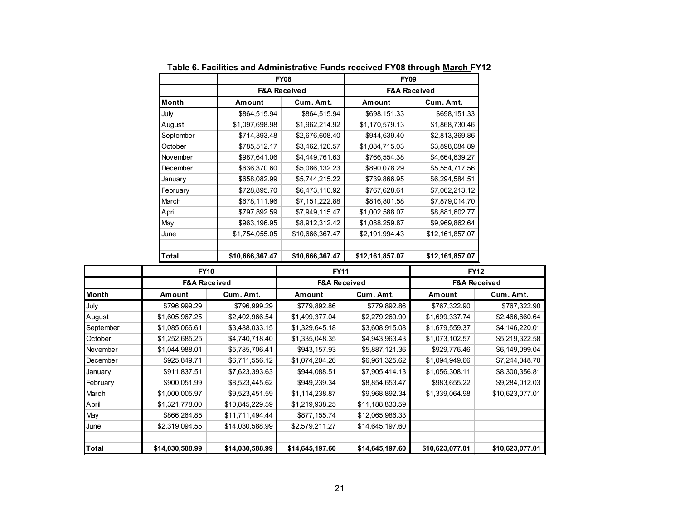|           | <b>FY08</b>             | <b>FY09</b>     |                         |                 |  |  |
|-----------|-------------------------|-----------------|-------------------------|-----------------|--|--|
|           | <b>F&amp;A Received</b> |                 | <b>F&amp;A Received</b> |                 |  |  |
| Month     | Amount                  | Cum. Amt.       | Amount                  | Cum. Amt.       |  |  |
| July      | \$864,515.94            | \$864,515.94    | \$698,151.33            | \$698,151.33    |  |  |
| August    | \$1,097,698.98          | \$1,962,214.92  | \$1,170,579.13          | \$1,868,730.46  |  |  |
| September | \$714,393.48            | \$2,676,608.40  | \$944,639.40            | \$2,813,369.86  |  |  |
| October   | \$785,512.17            | \$3,462,120.57  | \$1,084,715.03          | \$3,898,084.89  |  |  |
| November  | \$987,641.06            | \$4,449,761.63  | \$766,554.38            | \$4,664,639.27  |  |  |
| December  | \$636,370.60            | \$5,086,132.23  | \$890,078.29            | \$5,554,717.56  |  |  |
| January   | \$658,082.99            | \$5,744,215.22  | \$739,866.95            | \$6,294,584.51  |  |  |
| February  | \$728,895.70            | \$6,473,110.92  | \$767,628.61            | \$7,062,213.12  |  |  |
| March     | \$678,111.96            | \$7,151,222.88  | \$816,801.58            | \$7,879,014.70  |  |  |
| April     | \$797,892.59            | \$7,949,115.47  | \$1,002,588.07          | \$8,881,602.77  |  |  |
| May       | \$963,196.95            | \$8,912,312.42  | \$1,088,259.87          | \$9,969,862.64  |  |  |
| June      | \$1,754,055.05          | \$10,666,367.47 | \$2,191,994.43          | \$12,161,857.07 |  |  |
| Total     | \$10,666,367.47         | \$10,666,367.47 | \$12,161,857.07         | \$12,161,857.07 |  |  |

**Table 6. Facilities and Administrative Funds received FY08 through March FY12**

|              | <b>FY10</b>     |                         | <b>FY11</b>     |                         | <b>FY12</b><br><b>F&amp;A Received</b> |                 |  |
|--------------|-----------------|-------------------------|-----------------|-------------------------|----------------------------------------|-----------------|--|
|              |                 | <b>F&amp;A Received</b> |                 | <b>F&amp;A Received</b> |                                        |                 |  |
| Month        | Amount          | Cum. Amt.               | Amount          | Cum. Amt.               | Amount                                 | Cum. Amt.       |  |
| July         | \$796,999.29    | \$796,999.29            | \$779,892.86    | \$779,892.86            | \$767,322.90                           | \$767,322.90    |  |
| August       | \$1,605,967.25  | \$2,402,966.54          | \$1,499,377.04  | \$2,279,269.90          | \$1,699,337.74                         | \$2,466,660.64  |  |
| September    | \$1,085,066.61  | \$3,488,033.15          | \$1,329,645.18  | \$3,608,915.08          | \$1,679,559.37                         | \$4,146,220.01  |  |
| October      | \$1,252,685.25  | \$4,740,718.40          | \$1,335,048.35  | \$4,943,963.43          | \$1,073,102.57                         | \$5,219,322.58  |  |
| November     | \$1,044,988.01  | \$5,785,706.41          | \$943,157.93    | \$5,887,121.36          | \$929,776.46                           | \$6,149,099.04  |  |
| December     | \$925,849.71    | \$6,711,556.12          | \$1,074,204.26  | \$6,961,325.62          | \$1,094,949.66                         | \$7,244,048.70  |  |
| January      | \$911,837.51    | \$7,623,393.63          | \$944,088.51    | \$7,905,414.13          | \$1,056,308.11                         | \$8,300,356.81  |  |
| February     | \$900,051.99    | \$8,523,445.62          | \$949,239.34    | \$8,854,653.47          | \$983,655.22                           | \$9,284,012.03  |  |
| March        | \$1,000,005.97  | \$9,523,451.59          | \$1,114,238.87  | \$9,968,892.34          | \$1,339,064.98                         | \$10,623,077.01 |  |
| April        | \$1,321,778.00  | \$10,845,229.59         | \$1,219,938.25  | \$11,188,830.59         |                                        |                 |  |
| May          | \$866,264.85    | \$11,711,494.44         | \$877,155.74    | \$12,065,986.33         |                                        |                 |  |
| June         | \$2,319,094.55  | \$14,030,588.99         | \$2,579,211.27  | \$14,645,197.60         |                                        |                 |  |
| <b>Total</b> | \$14,030,588.99 | \$14,030,588.99         | \$14,645,197.60 | \$14,645,197.60         | \$10,623,077.01                        | \$10,623,077.01 |  |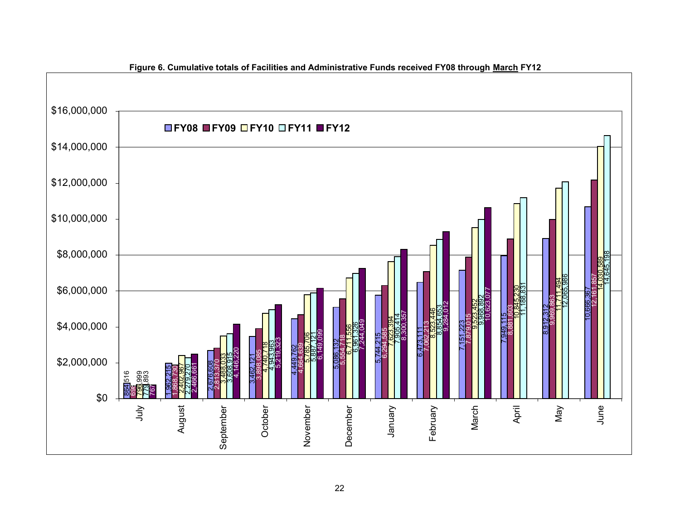

**Figure 6. Cumulative totals of Facilities and Administrative Funds received FY08 through March FY12**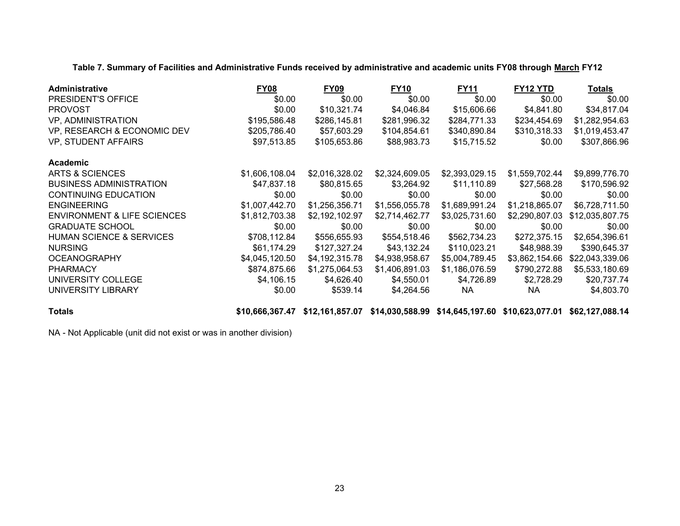**Table 7. Summary of Facilities and Administrative Funds received by administrative and academic units FY08 through March FY12**

| Administrative                         | <b>FY08</b>    | <b>FY09</b>    | <b>FY10</b>    | <b>FY11</b>    | FY12 YTD       | <b>Totals</b>   |
|----------------------------------------|----------------|----------------|----------------|----------------|----------------|-----------------|
| PRESIDENT'S OFFICE                     | \$0.00         | \$0.00         | \$0.00         | \$0.00         | \$0.00         | \$0.00          |
| <b>PROVOST</b>                         | \$0.00         | \$10,321.74    | \$4,046.84     | \$15,606.66    | \$4,841.80     | \$34,817.04     |
| VP, ADMINISTRATION                     | \$195,586.48   | \$286,145.81   | \$281,996.32   | \$284,771.33   | \$234,454.69   | \$1,282,954.63  |
| VP, RESEARCH & ECONOMIC DEV            | \$205,786.40   | \$57,603.29    | \$104,854.61   | \$340,890.84   | \$310,318.33   | \$1,019,453.47  |
| VP, STUDENT AFFAIRS                    | \$97,513.85    | \$105,653.86   | \$88,983.73    | \$15,715.52    | \$0.00         | \$307,866.96    |
| Academic                               |                |                |                |                |                |                 |
| ARTS & SCIENCES                        | \$1,606,108.04 | \$2,016,328.02 | \$2,324,609.05 | \$2,393,029.15 | \$1,559,702.44 | \$9,899,776.70  |
| <b>BUSINESS ADMINISTRATION</b>         | \$47,837.18    | \$80,815.65    | \$3,264.92     | \$11,110.89    | \$27,568.28    | \$170,596.92    |
| <b>CONTINUING EDUCATION</b>            | \$0.00         | \$0.00         | \$0.00         | \$0.00         | \$0.00         | \$0.00          |
| <b>ENGINEERING</b>                     | \$1,007,442.70 | \$1,256,356.71 | \$1,556,055.78 | \$1,689,991.24 | \$1,218,865.07 | \$6,728,711.50  |
| <b>ENVIRONMENT &amp; LIFE SCIENCES</b> | \$1,812,703.38 | \$2,192,102.97 | \$2,714,462.77 | \$3,025,731.60 | \$2,290,807.03 | \$12,035,807.75 |
| <b>GRADUATE SCHOOL</b>                 | \$0.00         | \$0.00         | \$0.00         | \$0.00         | \$0.00         | \$0.00          |
| <b>HUMAN SCIENCE &amp; SERVICES</b>    | \$708,112.84   | \$556,655.93   | \$554,518.46   | \$562,734.23   | \$272,375.15   | \$2,654,396.61  |
| <b>NURSING</b>                         | \$61,174.29    | \$127,327.24   | \$43,132.24    | \$110,023.21   | \$48,988.39    | \$390,645.37    |
| <b>OCEANOGRAPHY</b>                    | \$4,045,120.50 | \$4,192,315.78 | \$4,938,958.67 | \$5,004,789.45 | \$3,862,154.66 | \$22,043,339.06 |
| <b>PHARMACY</b>                        | \$874,875.66   | \$1,275,064.53 | \$1,406,891.03 | \$1,186,076.59 | \$790,272.88   | \$5,533,180.69  |
| UNIVERSITY COLLEGE                     | \$4,106.15     | \$4,626.40     | \$4,550.01     | \$4,726.89     | \$2,728.29     | \$20,737.74     |
| UNIVERSITY LIBRARY                     | \$0.00         | \$539.14       | \$4,264.56     | NA.            | NA.            | \$4,803.70      |
| _ _ _                                  |                |                |                |                |                |                 |

**Totals \$10,666,367.47 \$12,161,857.07 \$14,030,588.99 \$14,645,197.60 \$10,623,077.01 \$62,127,088.1 4**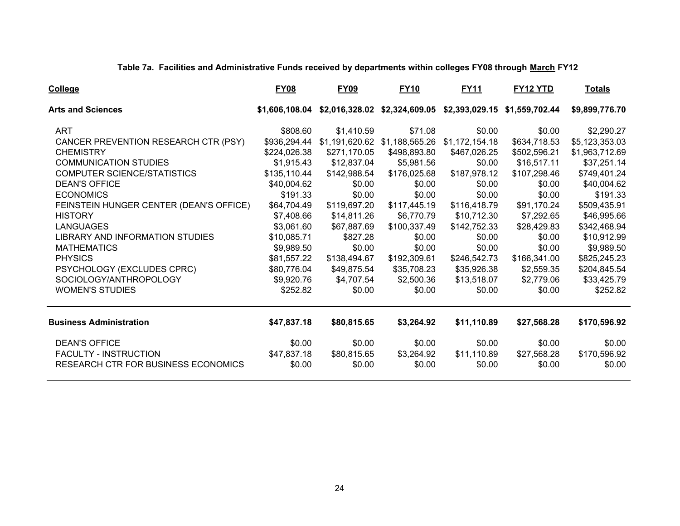**Table 7a. Facilities and Administrative Funds received by departments within colleges FY08 through March FY12**

| <b>College</b>                             | <b>FY08</b>    | <b>FY09</b>  | <b>FY10</b>                   | <b>FY11</b>    | FY12 YTD                                                    | <u>Totals</u>  |
|--------------------------------------------|----------------|--------------|-------------------------------|----------------|-------------------------------------------------------------|----------------|
| <b>Arts and Sciences</b>                   | \$1,606,108.04 |              |                               |                | \$2,016,328.02 \$2,324,609.05 \$2,393,029.15 \$1,559,702.44 | \$9,899,776.70 |
| <b>ART</b>                                 | \$808.60       | \$1,410.59   | \$71.08                       | \$0.00         | \$0.00                                                      | \$2,290.27     |
| CANCER PREVENTION RESEARCH CTR (PSY)       | \$936,294.44   |              | \$1,191,620.62 \$1,188,565.26 | \$1,172,154.18 | \$634,718.53                                                | \$5,123,353.03 |
| <b>CHEMISTRY</b>                           | \$224,026.38   | \$271,170.05 | \$498,893.80                  | \$467,026.25   | \$502,596.21                                                | \$1,963,712.69 |
| <b>COMMUNICATION STUDIES</b>               | \$1,915.43     | \$12,837.04  | \$5,981.56                    | \$0.00         | \$16,517.11                                                 | \$37,251.14    |
| COMPUTER SCIENCE/STATISTICS                | \$135,110.44   | \$142,988.54 | \$176,025.68                  | \$187,978.12   | \$107,298.46                                                | \$749,401.24   |
| <b>DEAN'S OFFICE</b>                       | \$40,004.62    | \$0.00       | \$0.00                        | \$0.00         | \$0.00                                                      | \$40,004.62    |
| <b>ECONOMICS</b>                           | \$191.33       | \$0.00       | \$0.00                        | \$0.00         | \$0.00                                                      | \$191.33       |
| FEINSTEIN HUNGER CENTER (DEAN'S OFFICE)    | \$64,704.49    | \$119,697.20 | \$117,445.19                  | \$116,418.79   | \$91,170.24                                                 | \$509,435.91   |
| <b>HISTORY</b>                             | \$7,408.66     | \$14,811.26  | \$6,770.79                    | \$10,712.30    | \$7,292.65                                                  | \$46,995.66    |
| <b>LANGUAGES</b>                           | \$3,061.60     | \$67,887.69  | \$100,337.49                  | \$142,752.33   | \$28,429.83                                                 | \$342,468.94   |
| LIBRARY AND INFORMATION STUDIES            | \$10,085.71    | \$827.28     | \$0.00                        | \$0.00         | \$0.00                                                      | \$10,912.99    |
| <b>MATHEMATICS</b>                         | \$9,989.50     | \$0.00       | \$0.00                        | \$0.00         | \$0.00                                                      | \$9,989.50     |
| <b>PHYSICS</b>                             | \$81,557.22    | \$138,494.67 | \$192,309.61                  | \$246,542.73   | \$166,341.00                                                | \$825,245.23   |
| PSYCHOLOGY (EXCLUDES CPRC)                 | \$80,776.04    | \$49,875.54  | \$35,708.23                   | \$35,926.38    | \$2,559.35                                                  | \$204,845.54   |
| SOCIOLOGY/ANTHROPOLOGY                     | \$9,920.76     | \$4,707.54   | \$2,500.36                    | \$13,518.07    | \$2,779.06                                                  | \$33,425.79    |
| <b>WOMEN'S STUDIES</b>                     | \$252.82       | \$0.00       | \$0.00                        | \$0.00         | \$0.00                                                      | \$252.82       |
| <b>Business Administration</b>             | \$47,837.18    | \$80,815.65  | \$3,264.92                    | \$11,110.89    | \$27,568.28                                                 | \$170,596.92   |
| <b>DEAN'S OFFICE</b>                       | \$0.00         | \$0.00       | \$0.00                        | \$0.00         | \$0.00                                                      | \$0.00         |
| <b>FACULTY - INSTRUCTION</b>               | \$47,837.18    | \$80,815.65  | \$3,264.92                    | \$11,110.89    | \$27,568.28                                                 | \$170,596.92   |
| <b>RESEARCH CTR FOR BUSINESS ECONOMICS</b> | \$0.00         | \$0.00       | \$0.00                        | \$0.00         | \$0.00                                                      | \$0.00         |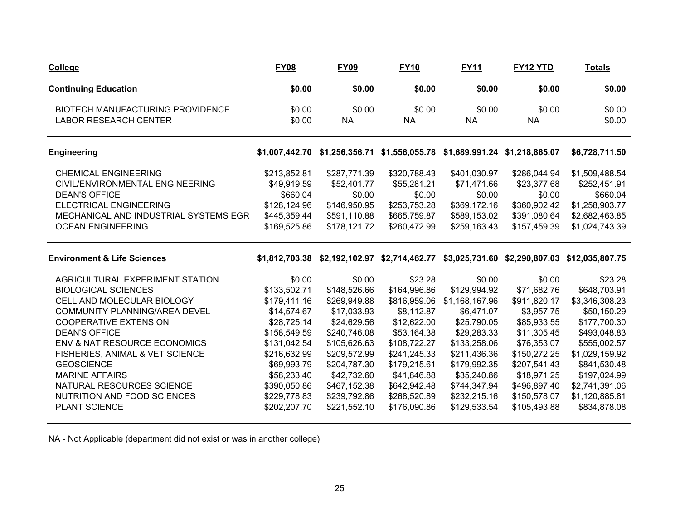| <b>College</b>                                                                                                                                                                                                                                                                                                                                                                            | <b>FY08</b>                                                                                                                                                                                        | <b>FY09</b>                                                                                                                                                                                         | <b>FY10</b>                                                                                                                                                                                        | <b>FY11</b>                                                                                                                                                                                         | FY <sub>12</sub> YTD                                                                                                                                                                            | <b>Totals</b>                                                                                                                                                                                                  |
|-------------------------------------------------------------------------------------------------------------------------------------------------------------------------------------------------------------------------------------------------------------------------------------------------------------------------------------------------------------------------------------------|----------------------------------------------------------------------------------------------------------------------------------------------------------------------------------------------------|-----------------------------------------------------------------------------------------------------------------------------------------------------------------------------------------------------|----------------------------------------------------------------------------------------------------------------------------------------------------------------------------------------------------|-----------------------------------------------------------------------------------------------------------------------------------------------------------------------------------------------------|-------------------------------------------------------------------------------------------------------------------------------------------------------------------------------------------------|----------------------------------------------------------------------------------------------------------------------------------------------------------------------------------------------------------------|
| <b>Continuing Education</b>                                                                                                                                                                                                                                                                                                                                                               | \$0.00                                                                                                                                                                                             | \$0.00                                                                                                                                                                                              | \$0.00                                                                                                                                                                                             | \$0.00                                                                                                                                                                                              | \$0.00                                                                                                                                                                                          | \$0.00                                                                                                                                                                                                         |
| BIOTECH MANUFACTURING PROVIDENCE<br><b>LABOR RESEARCH CENTER</b>                                                                                                                                                                                                                                                                                                                          | \$0.00<br>\$0.00                                                                                                                                                                                   | \$0.00<br><b>NA</b>                                                                                                                                                                                 | \$0.00<br><b>NA</b>                                                                                                                                                                                | \$0.00<br><b>NA</b>                                                                                                                                                                                 | \$0.00<br><b>NA</b>                                                                                                                                                                             | \$0.00<br>\$0.00                                                                                                                                                                                               |
| <b>Engineering</b>                                                                                                                                                                                                                                                                                                                                                                        | \$1,007,442.70                                                                                                                                                                                     | \$1,256,356.71                                                                                                                                                                                      | \$1,556,055.78                                                                                                                                                                                     |                                                                                                                                                                                                     | \$1,689,991.24 \$1,218,865.07                                                                                                                                                                   | \$6,728,711.50                                                                                                                                                                                                 |
| <b>CHEMICAL ENGINEERING</b><br>CIVIL/ENVIRONMENTAL ENGINEERING<br><b>DEAN'S OFFICE</b><br><b>ELECTRICAL ENGINEERING</b><br>MECHANICAL AND INDUSTRIAL SYSTEMS EGR<br><b>OCEAN ENGINEERING</b>                                                                                                                                                                                              | \$213,852.81<br>\$49,919.59<br>\$660.04<br>\$128,124.96<br>\$445,359.44<br>\$169,525.86                                                                                                            | \$287,771.39<br>\$52,401.77<br>\$0.00<br>\$146,950.95<br>\$591,110.88<br>\$178,121.72                                                                                                               | \$320,788.43<br>\$55,281.21<br>\$0.00<br>\$253,753.28<br>\$665,759.87<br>\$260,472.99                                                                                                              | \$401,030.97<br>\$71,471.66<br>\$0.00<br>\$369,172.16<br>\$589,153.02<br>\$259,163.43                                                                                                               | \$286,044.94<br>\$23,377.68<br>\$0.00<br>\$360,902.42<br>\$391,080.64<br>\$157,459.39                                                                                                           | \$1,509,488.54<br>\$252,451.91<br>\$660.04<br>\$1,258,903.77<br>\$2,682,463.85<br>\$1,024,743.39                                                                                                               |
| <b>Environment &amp; Life Sciences</b>                                                                                                                                                                                                                                                                                                                                                    |                                                                                                                                                                                                    |                                                                                                                                                                                                     | \$1,812,703.38 \$2,192,102.97 \$2,714,462.77                                                                                                                                                       |                                                                                                                                                                                                     |                                                                                                                                                                                                 | \$3,025,731.60 \$2,290,807.03 \$12,035,807.75                                                                                                                                                                  |
| AGRICULTURAL EXPERIMENT STATION<br><b>BIOLOGICAL SCIENCES</b><br>CELL AND MOLECULAR BIOLOGY<br><b>COMMUNITY PLANNING/AREA DEVEL</b><br><b>COOPERATIVE EXTENSION</b><br><b>DEAN'S OFFICE</b><br>ENV & NAT RESOURCE ECONOMICS<br>FISHERIES, ANIMAL & VET SCIENCE<br><b>GEOSCIENCE</b><br><b>MARINE AFFAIRS</b><br>NATURAL RESOURCES SCIENCE<br>NUTRITION AND FOOD SCIENCES<br>PLANT SCIENCE | \$0.00<br>\$133,502.71<br>\$179,411.16<br>\$14,574.67<br>\$28,725.14<br>\$158,549.59<br>\$131,042.54<br>\$216,632.99<br>\$69,993.79<br>\$58,233.40<br>\$390,050.86<br>\$229,778.83<br>\$202,207.70 | \$0.00<br>\$148,526.66<br>\$269,949.88<br>\$17,033.93<br>\$24,629.56<br>\$240,746.08<br>\$105,626.63<br>\$209,572.99<br>\$204,787.30<br>\$42,732.60<br>\$467,152.38<br>\$239,792.86<br>\$221,552.10 | \$23.28<br>\$164,996.86<br>\$816,959.06<br>\$8,112.87<br>\$12,622.00<br>\$53,164.38<br>\$108,722.27<br>\$241,245.33<br>\$179,215.61<br>\$41,846.88<br>\$642,942.48<br>\$268,520.89<br>\$176,090.86 | \$0.00<br>\$129,994.92<br>\$1,168,167.96<br>\$6,471.07<br>\$25,790.05<br>\$29,283.33<br>\$133,258.06<br>\$211,436.36<br>\$179,992.35<br>\$35,240.86<br>\$744,347.94<br>\$232,215.16<br>\$129,533.54 | \$0.00<br>\$71,682.76<br>\$911,820.17<br>\$3,957.75<br>\$85,933.55<br>\$11,305.45<br>\$76,353.07<br>\$150,272.25<br>\$207,541.43<br>\$18,971.25<br>\$496,897.40<br>\$150,578.07<br>\$105,493.88 | \$23.28<br>\$648,703.91<br>\$3,346,308.23<br>\$50,150.29<br>\$177,700.30<br>\$493,048.83<br>\$555,002.57<br>\$1,029,159.92<br>\$841,530.48<br>\$197,024.99<br>\$2,741,391.06<br>\$1,120,885.81<br>\$834,878.08 |

NA - Not Applicable (department did not exist or was in another college)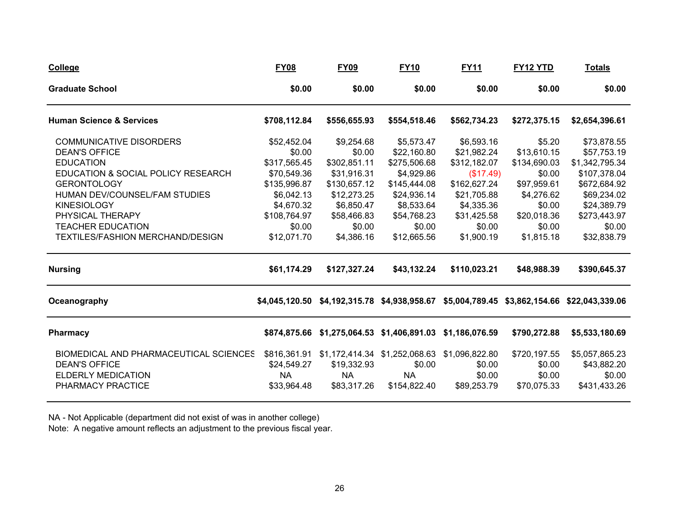| <b>College</b>                         | <b>FY08</b>    | <b>FY09</b>    | <b>FY10</b>                                  | <b>FY11</b>    | <b>FY12 YTD</b> | <b>Totals</b>                                                               |
|----------------------------------------|----------------|----------------|----------------------------------------------|----------------|-----------------|-----------------------------------------------------------------------------|
| <b>Graduate School</b>                 | \$0.00         | \$0.00         | \$0.00                                       | \$0.00         | \$0.00          | \$0.00                                                                      |
| <b>Human Science &amp; Services</b>    | \$708,112.84   | \$556,655.93   | \$554,518.46                                 | \$562,734.23   | \$272,375.15    | \$2,654,396.61                                                              |
| <b>COMMUNICATIVE DISORDERS</b>         | \$52,452.04    | \$9,254.68     | \$5,573.47                                   | \$6,593.16     | \$5.20          | \$73,878.55                                                                 |
| <b>DEAN'S OFFICE</b>                   | \$0.00         | \$0.00         | \$22,160.80                                  | \$21,982.24    | \$13,610.15     | \$57,753.19                                                                 |
| <b>EDUCATION</b>                       | \$317,565.45   | \$302,851.11   | \$275,506.68                                 | \$312,182.07   | \$134,690.03    | \$1,342,795.34                                                              |
| EDUCATION & SOCIAL POLICY RESEARCH     | \$70,549.36    | \$31,916.31    | \$4,929.86                                   | (\$17.49)      | \$0.00          | \$107,378.04                                                                |
| <b>GERONTOLOGY</b>                     | \$135,996.87   | \$130,657.12   | \$145,444.08                                 | \$162,627.24   | \$97,959.61     | \$672,684.92                                                                |
| HUMAN DEV/COUNSEL/FAM STUDIES          | \$6,042.13     | \$12,273.25    | \$24,936.14                                  | \$21,705.88    | \$4,276.62      | \$69,234.02                                                                 |
| <b>KINESIOLOGY</b>                     | \$4,670.32     | \$6,850.47     | \$8,533.64                                   | \$4,335.36     | \$0.00          | \$24,389.79                                                                 |
| PHYSICAL THERAPY                       | \$108,764.97   | \$58,466.83    | \$54,768.23                                  | \$31,425.58    | \$20,018.36     | \$273,443.97                                                                |
| <b>TEACHER EDUCATION</b>               | \$0.00         | \$0.00         | \$0.00                                       | \$0.00         | \$0.00          | \$0.00                                                                      |
| TEXTILES/FASHION MERCHAND/DESIGN       | \$12,071.70    | \$4,386.16     | \$12,665.56                                  | \$1,900.19     | \$1,815.18      | \$32,838.79                                                                 |
| <b>Nursing</b>                         | \$61,174.29    | \$127,327.24   | \$43,132.24                                  | \$110,023.21   | \$48,988.39     | \$390,645.37                                                                |
| Oceanography                           | \$4,045,120.50 |                |                                              |                |                 | \$4,192,315.78 \$4,938,958.67 \$5,004,789.45 \$3,862,154.66 \$22,043,339.06 |
| <b>Pharmacy</b>                        | \$874,875.66   | \$1,275,064.53 | \$1,406,891.03                               | \$1,186,076.59 | \$790,272.88    | \$5,533,180.69                                                              |
| BIOMEDICAL AND PHARMACEUTICAL SCIENCES | \$816,361.91   |                | \$1,172,414.34 \$1,252,068.63 \$1,096,822.80 |                | \$720,197.55    | \$5,057,865.23                                                              |
| <b>DEAN'S OFFICE</b>                   | \$24,549.27    | \$19,332.93    | \$0.00                                       | \$0.00         | \$0.00          | \$43,882.20                                                                 |
| <b>ELDERLY MEDICATION</b>              | <b>NA</b>      | <b>NA</b>      | <b>NA</b>                                    | \$0.00         | \$0.00          | \$0.00                                                                      |
| PHARMACY PRACTICE                      | \$33,964.48    | \$83,317.26    | \$154,822.40                                 | \$89,253.79    | \$70,075.33     | \$431,433.26                                                                |
|                                        |                |                |                                              |                |                 |                                                                             |

NA - Not Applicable (department did not exist of was in another college)

Note: A negative amount reflects an adjustment to the previous fiscal year.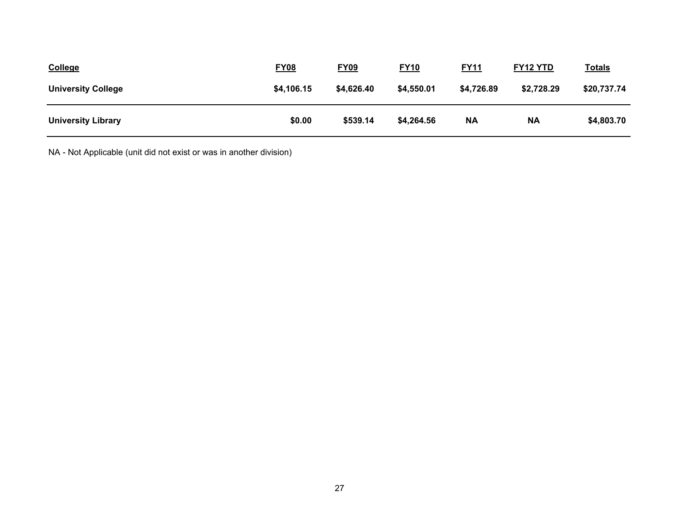| <b>College</b>            | <b>FY08</b> | <b>FY09</b> | <b>FY10</b> | <u>FY11</u> | <b>FY12 YTD</b> | <b>Totals</b> |
|---------------------------|-------------|-------------|-------------|-------------|-----------------|---------------|
| <b>University College</b> | \$4,106.15  | \$4,626.40  | \$4,550.01  | \$4,726.89  | \$2,728.29      | \$20,737.74   |
| <b>University Library</b> | \$0.00      | \$539.14    | \$4,264.56  | <b>NA</b>   | <b>NA</b>       | \$4,803.70    |